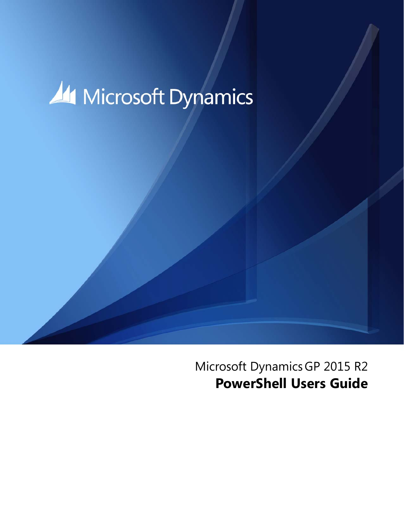

Microsoft DynamicsGP 2015 R2 **PowerShell Users Guide**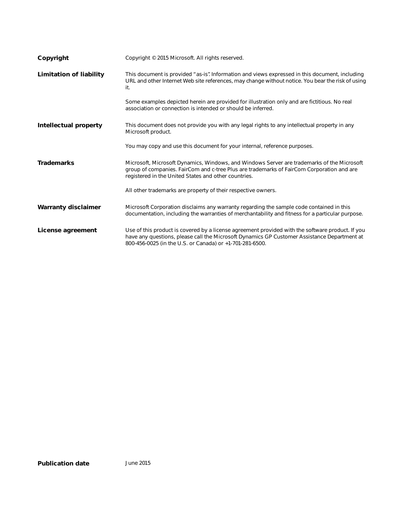| Copyright                      | Copyright © 2015 Microsoft. All rights reserved.                                                                                                                                                                                                            |
|--------------------------------|-------------------------------------------------------------------------------------------------------------------------------------------------------------------------------------------------------------------------------------------------------------|
| <b>Limitation of liability</b> | This document is provided "as-is" Information and views expressed in this document, including<br>URL and other Internet Web site references, may change without notice. You bear the risk of using<br>it.                                                   |
|                                | Some examples depicted herein are provided for illustration only and are fictitious. No real<br>association or connection is intended or should be inferred.                                                                                                |
| <b>Intellectual property</b>   | This document does not provide you with any legal rights to any intellectual property in any<br>Microsoft product.                                                                                                                                          |
|                                | You may copy and use this document for your internal, reference purposes.                                                                                                                                                                                   |
| <b>Trademarks</b>              | Microsoft, Microsoft Dynamics, Windows, and Windows Server are trademarks of the Microsoft<br>group of companies. FairCom and c-tree Plus are trademarks of FairCom Corporation and are<br>registered in the United States and other countries.             |
|                                | All other trademarks are property of their respective owners.                                                                                                                                                                                               |
| <b>Warranty disclaimer</b>     | Microsoft Corporation disclaims any warranty regarding the sample code contained in this<br>documentation, including the warranties of merchantability and fitness for a particular purpose.                                                                |
| License agreement              | Use of this product is covered by a license agreement provided with the software product. If you<br>have any questions, please call the Microsoft Dynamics GP Customer Assistance Department at<br>800-456-0025 (in the U.S. or Canada) or +1-701-281-6500. |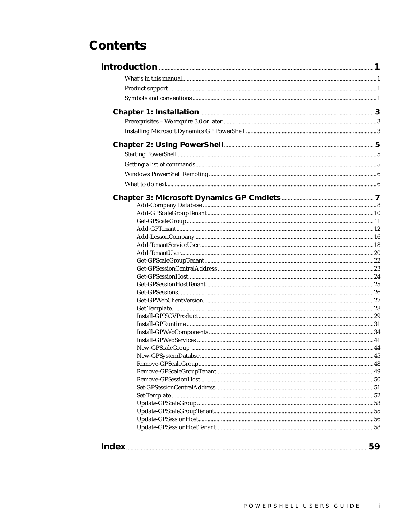# **Contents**

| 59 |
|----|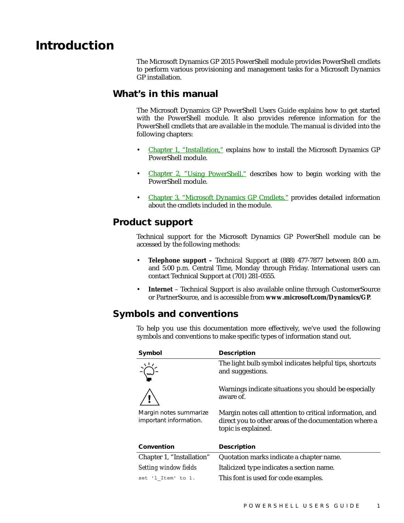## <span id="page-4-1"></span><span id="page-4-0"></span>**Introduction**

The Microsoft Dynamics GP 2015 PowerShell module provides PowerShell cmdlets to perform various provisioning and management tasks for a Microsoft Dynamics GP installation.

### **What's in this manual**

The Microsoft Dynamics GP PowerShell Users Guide explains how to get started with the PowerShell module. It also provides reference information for the PowerShell cmdlets that are available in the module. The manual is divided into the following chapters:

- [Chapter 1, "Installation,"](#page-6-3) explains how to install the Microsoft Dynamics GP PowerShell module.
- [Chapter 2, "Using PowerShell,"](#page-8-3) describes how to begin working with the PowerShell module.
- Chapter 3. "Microsoft Dynamics GP Cmdlets." provides detailed information about the cmdlets included in the module.

#### <span id="page-4-2"></span>**Product support**

<span id="page-4-7"></span>Technical support for the Microsoft Dynamics GP PowerShell module can be accessed by the following methods:

- **Telephone support –** Technical Support at (888) 477-7877 between 8:00 a.m. and 5:00 p.m. Central Time, Monday through Friday. International users can contact Technical Support at (701) 281-0555.
- <span id="page-4-4"></span>• **Internet** – Technical Support is also available online through CustomerSource or PartnerSource, and is accessible from **[www.microsoft.com/Dynamics/GP](http://www.microsoft.com/Dynamics/GP)**.

### <span id="page-4-3"></span>**Symbols and conventions**

To help you use this documentation more effectively, we've used the following symbols and conventions to make specific types of information stand out.

<span id="page-4-8"></span><span id="page-4-6"></span><span id="page-4-5"></span>

| Symbol                                           | <b>Description</b>                                                                                                                        |
|--------------------------------------------------|-------------------------------------------------------------------------------------------------------------------------------------------|
|                                                  | The light bulb symbol indicates helpful tips, shortcuts<br>and suggestions.                                                               |
|                                                  | Warnings indicate situations you should be especially<br>aware of.                                                                        |
| Margin notes summarize<br>important information. | Margin notes call attention to critical information, and<br>direct you to other areas of the documentation where a<br>topic is explained. |
| Convention                                       | <b>Description</b>                                                                                                                        |
| Chapter 1, "Installation"                        | Quotation marks indicate a chapter name.                                                                                                  |
| <b>Setting window fields</b>                     | Italicized type indicates a section name.                                                                                                 |
| set 'l Item' to 1.                               | This font is used for code examples.                                                                                                      |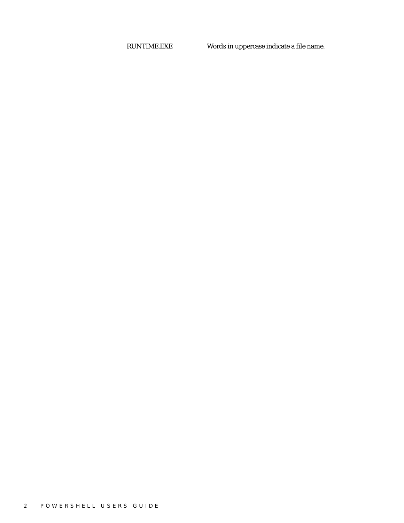RUNTIME.EXE Words in uppercase indicate a file name.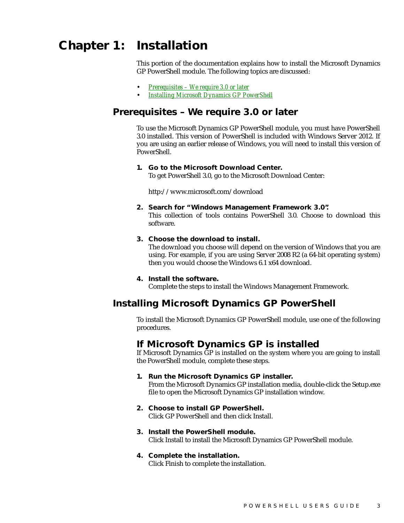# <span id="page-6-1"></span><span id="page-6-0"></span>**Chapter 1: Installation**

<span id="page-6-3"></span>This portion of the documentation explains how to install the Microsoft Dynamics GP PowerShell module. The following topics are discussed:

- *[Prerequisites We require 3.0 or later](#page-6-1)*
- <span id="page-6-5"></span>• *[Installing Microsoft Dynamics GP PowerShell](#page-6-2)*

### **Prerequisites – We require 3.0 or later**

To use the Microsoft Dynamics GP PowerShell module, you must have PowerShell 3.0 installed. This version of PowerShell is included with Windows Server 2012. If you are using an earlier release of Windows, you will need to install this version of PowerShell.

#### **1. Go to the Microsoft Download Center.**

To get PowerShell 3.0, go to the Microsoft Download Center:

http://www.microsoft.com/download

#### **2. Search for "Windows Management Framework 3.0".**

This collection of tools contains PowerShell 3.0. Choose to download this software.

#### **3. Choose the download to install.**

The download you choose will depend on the version of Windows that you are using. For example, if you are using Server 2008 R2 (a 64-bit operating system) then you would choose the Windows 6.1 x64 download.

#### **4. Install the software.**

<span id="page-6-4"></span>Complete the steps to install the Windows Management Framework.

#### <span id="page-6-2"></span>**Installing Microsoft Dynamics GP PowerShell**

To install the Microsoft Dynamics GP PowerShell module, use one of the following procedures.

#### **If Microsoft Dynamics GP is installed**

If Microsoft Dynamics GP is installed on the system where you are going to install the PowerShell module, complete these steps.

#### **1. Run the Microsoft Dynamics GP installer.**

From the Microsoft Dynamics GP installation media, double-click the Setup.exe file to open the Microsoft Dynamics GP installation window.

- **2. Choose to install GP PowerShell.** Click GP PowerShell and then click Install.
- **3. Install the PowerShell module.** Click Install to install the Microsoft Dynamics GP PowerShell module.

#### **4. Complete the installation.** Click Finish to complete the installation.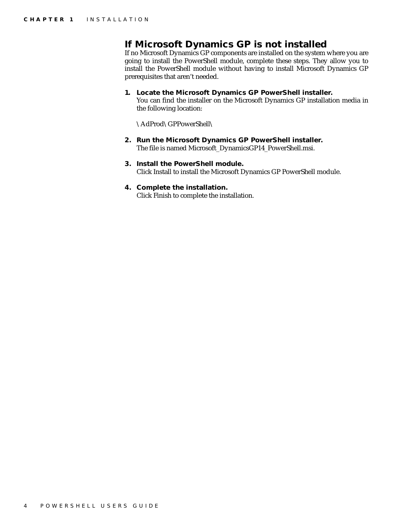### **If Microsoft Dynamics GP is not installed**

If no Microsoft Dynamics GP components are installed on the system where you are going to install the PowerShell module, complete these steps. They allow you to install the PowerShell module without having to install Microsoft Dynamics GP prerequisites that aren't needed.

#### **1. Locate the Microsoft Dynamics GP PowerShell installer.**

You can find the installer on the Microsoft Dynamics GP installation media in the following location:

\AdProd\GPPowerShell\

- **2. Run the Microsoft Dynamics GP PowerShell installer.** The file is named Microsoft\_DynamicsGP14\_PowerShell.msi.
- **3. Install the PowerShell module.** Click Install to install the Microsoft Dynamics GP PowerShell module.
- **4. Complete the installation.** Click Finish to complete the installation.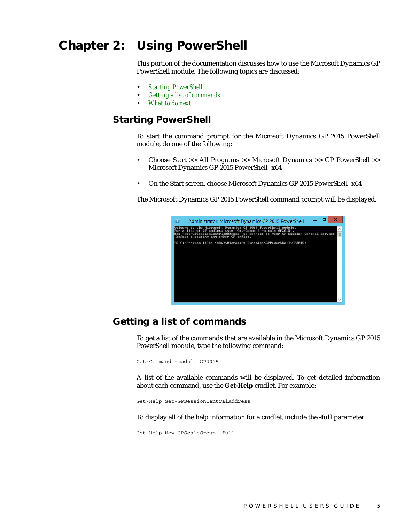# <span id="page-8-1"></span><span id="page-8-0"></span>**Chapter 2: Using PowerShell**

<span id="page-8-3"></span>This portion of the documentation discusses how to use the Microsoft Dynamics GP PowerShell module. The following topics are discussed:

- *[Starting PowerShell](#page-8-1)*
- *[Getting a list of commands](#page-8-2)*
- <span id="page-8-6"></span>• *[What to do next](#page-9-1)*

### **Starting PowerShell**

To start the command prompt for the Microsoft Dynamics GP 2015 PowerShell module, do one of the following:

- Choose Start >> All Programs >> Microsoft Dynamics >> GP PowerShell >> Microsoft Dynamics GP 2015 PowerShell -x64
- On the Start screen, choose Microsoft Dynamics GP 2015 PowerShell -x64

The Microsoft Dynamics GP 2015 PowerShell command prompt will be displayed.



### <span id="page-8-2"></span>**Getting a list of commands**

<span id="page-8-5"></span>To get a list of the commands that are available in the Microsoft Dynamics GP 2015 PowerShell module, type the following command:

Get-Command -module GP2015

<span id="page-8-4"></span>A list of the available commands will be displayed. To get detailed information about each command, use the **Get-Help** cmdlet. For example:

Get-Help Set-GPSessionCentralAddress

To display all of the help information for a cmdlet, include the **-full** parameter:

Get-Help New-GPScaleGroup -full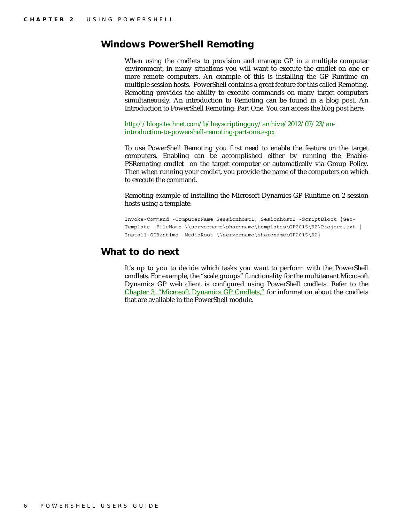### <span id="page-9-0"></span>**Windows PowerShell Remoting**

When using the cmdlets to provision and manage GP in a multiple computer environment, in many situations you will want to execute the cmdlet on one or more remote computers. An example of this is installing the GP Runtime on multiple session hosts. PowerShell contains a great feature for this called Remoting. Remoting provides the ability to execute commands on many target computers simultaneously. An introduction to Remoting can be found in a blog post, An Introduction to PowerShell Remoting: Part One. You can access the blog post here:

[http://blogs.technet.com/b/heyscriptingguy/archive/2012/07/23/an](http://blogs.technet.com/b/heyscriptingguy/archive/2012/07/23/an-introduction-to-powershell-remoting-part-one.aspx)introduction-to-powershell-remoting-part-one.aspx

To use PowerShell Remoting you first need to enable the feature on the target computers. Enabling can be accomplished either by running the Enable-PSRemoting cmdlet on the target computer or automatically via Group Policy. Then when running your cmdlet, you provide the name of the computers on which to execute the command.

Remoting example of installing the Microsoft Dynamics GP Runtime on 2 session hosts using a template:

Invoke-Command -ComputerName Sessionhost1, Sesionhost2 -ScriptBlock {Get-Template -FileName \\servername\sharename\templates\GP2015\R2\Project.txt | Install-GPRuntime -MediaRoot \\servername\sharename\GP2015\R2}

#### <span id="page-9-1"></span>**What to do next**

It's up to you to decide which tasks you want to perform with the PowerShell cmdlets. For example, the "scale groups" functionality for the multitenant Microsoft Dynamics GP web client is configured using PowerShell cmdlets. Refer to the [Chapter 3, "Microsoft Dynamics GP Cmdlets,"](#page-10-1) for information about the cmdlets that are available in the PowerShell module.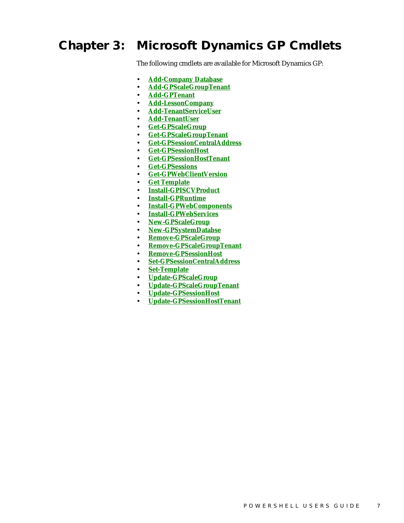# <span id="page-10-0"></span>**Chapter 3: Microsoft Dynamics GP Cmdlets**

<span id="page-10-1"></span>The following cmdlets are available for Microsoft Dynamics GP:

- **[Add-Company Database](#page-11-0)**
- **[Add-GPScaleGroupTenant](#page-13-0)**
- **[Add-GPTenant](#page-15-0)**
- **[Add-LessonCompany](#page-19-0)**
- **[Add-TenantServiceUser](#page-21-0)**
- **[Add-TenantUser](#page-23-0)**
- **[Get-GPScaleGroup](#page-14-0)**
- **[Get-GPScaleGroupTenant](#page-25-0)**
- **[Get-GPSessionCentralAddress](#page-26-0)**
- **[Get-GPSessionHost](#page-27-0)**
- **[Get-GPSessionHostTenant](#page-28-0)**
- **[Get-GPSessions](#page-29-0)**
- **[Get-GPWebClientVersion](#page-30-0)**
- **[Get Template](#page-31-0)**
- **[Install-GPISCVProduct](#page-32-0)**
- **[Install-GPRuntime](#page-34-0)**
- **[Install-GPWebComponents](#page-37-0)**
- **[Install-GPWebServices](#page-44-0)**
- **[New-GPScaleGroup](#page-47-0)**
- **[New-GPSystemDatabse](#page-48-0)**
- **[Remove-GPScaleGroup](#page-51-0)**
- **[Remove-GPScaleGroupTenant](#page-52-0)**
- **[Remove-GPSessionHost](#page-53-0)**
- **[Set-GPSessionCentralAddress](#page-54-0)**
- **[Set-Template](#page-55-0)**
- **[Update-GPScaleGroup](#page-56-0)**
- **[Update-GPScaleGroupTenant](#page-58-0)**
- **[Update-GPSessionHost](#page-59-0)**
- **[Update-GPSessionHostTenant](#page-61-0)**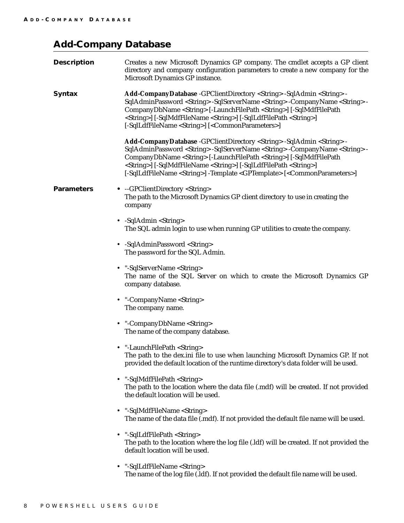## <span id="page-11-0"></span>**Add-Company Database**

| <b>Description</b> | Creates a new Microsoft Dynamics GP company. The cmdlet accepts a GP client<br>directory and company configuration parameters to create a new company for the<br>Microsoft Dynamics GP instance.                                                                                                                                                                                                                                                                                                            |
|--------------------|-------------------------------------------------------------------------------------------------------------------------------------------------------------------------------------------------------------------------------------------------------------------------------------------------------------------------------------------------------------------------------------------------------------------------------------------------------------------------------------------------------------|
| <b>Syntax</b>      | Add-CompanyDatabase -GPClientDirectory <string> -SqlAdmin <string> -<br/>SqlAdminPassword <string> -SqlServerName <string> -CompanyName <string> -<br/>CompanyDbName <string> [-LaunchFilePath <string>] [-SqlMdfFilePath<br/><string>] [-SqlMdfFileName <string>] [-SqlLdfFilePath <string>]<br/>[-SqlLdfFileName <string>] [<commonparameters>]</commonparameters></string></string></string></string></string></string></string></string></string></string></string>                                     |
|                    | Add-CompanyDatabase -GPClientDirectory <string> -SqlAdmin <string> -<br/>SqlAdminPassword <string> -SqlServerName <string> -CompanyName <string> -<br/>CompanyDbName <string> [-LaunchFilePath <string>] [-SqlMdfFilePath<br/><string>] [-SqlMdfFileName <string>] [-SqlLdfFilePath <string>]<br/>[-SqlLdfFileName <string>] -Template <gptemplate> [<commonparameters>]</commonparameters></gptemplate></string></string></string></string></string></string></string></string></string></string></string> |
| <b>Parameters</b>  | • --GPClientDirectory <string><br/>The path to the Microsoft Dynamics GP client directory to use in creating the<br/>company</string>                                                                                                                                                                                                                                                                                                                                                                       |
|                    | • $-SqlAdmin <$ String><br>The SQL admin login to use when running GP utilities to create the company.                                                                                                                                                                                                                                                                                                                                                                                                      |
|                    | • -SqlAdminPassword <string><br/>The password for the SQL Admin.</string>                                                                                                                                                                                                                                                                                                                                                                                                                                   |
|                    | • "-SqlServerName <string><br/>The name of the SQL Server on which to create the Microsoft Dynamics GP<br/>company database.</string>                                                                                                                                                                                                                                                                                                                                                                       |
|                    | • "-CompanyName <string><br/>The company name.</string>                                                                                                                                                                                                                                                                                                                                                                                                                                                     |
|                    | • "-CompanyDbName <string><br/>The name of the company database.</string>                                                                                                                                                                                                                                                                                                                                                                                                                                   |
|                    | • "-LaunchFilePath <string><br/>The path to the dex.ini file to use when launching Microsoft Dynamics GP. If not<br/>provided the default location of the runtime directory's data folder will be used.</string>                                                                                                                                                                                                                                                                                            |
| $\bullet$          | "-SqlMdfFilePath <string><br/>The path to the location where the data file (.mdf) will be created. If not provided<br/>the default location will be used.</string>                                                                                                                                                                                                                                                                                                                                          |
| $\bullet$          | "-SqlMdfFileName <string><br/>The name of the data file (.mdf). If not provided the default file name will be used.</string>                                                                                                                                                                                                                                                                                                                                                                                |
| $\bullet$          | "-SqlLdfFilePath <string><br/>The path to the location where the log file (.ldf) will be created. If not provided the<br/>default location will be used.</string>                                                                                                                                                                                                                                                                                                                                           |
| $\bullet$          | "-SqlLdfFileName <string></string>                                                                                                                                                                                                                                                                                                                                                                                                                                                                          |

The name of the log file (.ldf). If not provided the default file name will be used.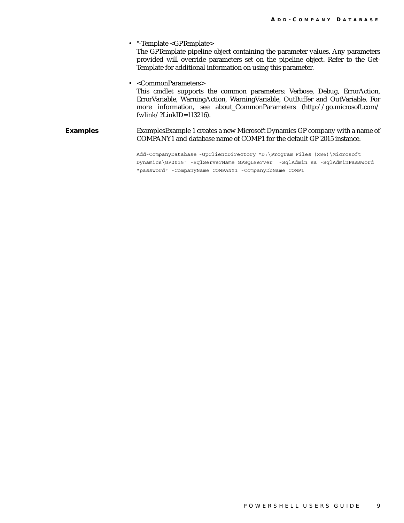• "-Template <GPTemplate> The GPTemplate pipeline object containing the parameter values. Any parameters provided will override parameters set on the pipeline object. Refer to the Get-Template for additional information on using this parameter. • <CommonParameters> This cmdlet supports the common parameters: Verbose, Debug, ErrorAction, ErrorVariable, WarningAction, WarningVariable, OutBuffer and OutVariable. For more information, see about\_CommonParameters (http://go.microsoft.com/ fwlink/?LinkID=113216). **Examples** Examples Example 1 creates a new Microsoft Dynamics GP company with a name of COMPANY1 and database name of COMP1 for the default GP 2015 instance. Add-CompanyDatabase -GpClientDirectory "D:\Program Files (x86)\Microsoft Dynamics\GP2015" -SqlServerName GPSQLServer -SqlAdmin sa -SqlAdminPassword "password" -CompanyName COMPANY1 -CompanyDbName COMP1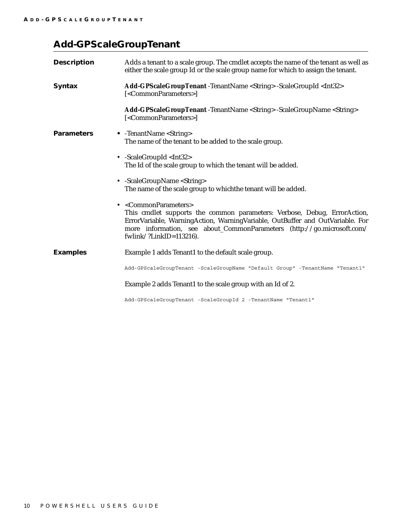## <span id="page-13-0"></span>**Add-GPScaleGroupTenant**

| <b>Description</b> | Adds a tenant to a scale group. The cmdlet accepts the name of the tenant as well as<br>either the scale group Id or the scale group name for which to assign the tenant.                                                                                                                                                  |
|--------------------|----------------------------------------------------------------------------------------------------------------------------------------------------------------------------------------------------------------------------------------------------------------------------------------------------------------------------|
| <b>Syntax</b>      | Add-GPScaleGroupTenant -TenantName <string> -ScaleGroupId <int32><br/>[<commonparameters>]</commonparameters></int32></string>                                                                                                                                                                                             |
|                    | <b>Add-GPScaleGroupTenant</b> -TenantName <string> -ScaleGroupName <string><br/>[<commonparameters>]</commonparameters></string></string>                                                                                                                                                                                  |
| <b>Parameters</b>  | • -TenantName <string><br/>The name of the tenant to be added to the scale group.</string>                                                                                                                                                                                                                                 |
|                    | • -ScaleGroupId <int32><br/>The Id of the scale group to which the tenant will be added.</int32>                                                                                                                                                                                                                           |
|                    | • -ScaleGroupName <string><br/>The name of the scale group to whichthe tenant will be added.</string>                                                                                                                                                                                                                      |
|                    | • <commonparameters><br/>This cmdlet supports the common parameters: Verbose, Debug, ErrorAction,<br/>ErrorVariable, WarningAction, WarningVariable, OutBuffer and OutVariable. For<br/>more information, see about_CommonParameters (http://go.microsoft.com/<br/>fwlink/?LinkID=<math>113216</math>).</commonparameters> |
| <b>Examples</b>    | Example 1 adds Tenant1 to the default scale group.                                                                                                                                                                                                                                                                         |
|                    | Add-GPScaleGroupTenant -ScaleGroupName "Default Group" -TenantName "Tenant1"                                                                                                                                                                                                                                               |
|                    | Example 2 adds Tenant1 to the scale group with an Id of 2.                                                                                                                                                                                                                                                                 |
|                    | Add-GPScaleGroupTenant -ScaleGroupId 2 -TenantName "Tenant1"                                                                                                                                                                                                                                                               |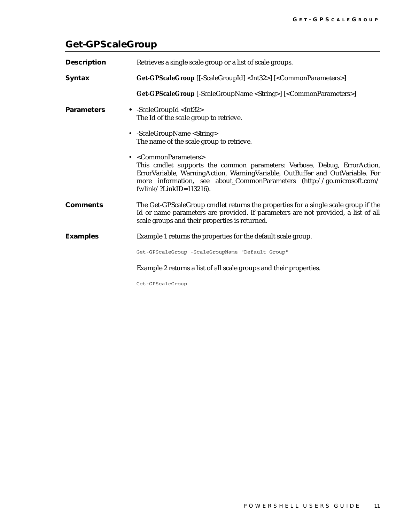## <span id="page-14-0"></span>**Get-GPScaleGroup**

| <b>Description</b> | Retrieves a single scale group or a list of scale groups.                                                                                                                                                                                                                                                     |
|--------------------|---------------------------------------------------------------------------------------------------------------------------------------------------------------------------------------------------------------------------------------------------------------------------------------------------------------|
| <b>Syntax</b>      | Get-GPScaleGroup [[-ScaleGroupId] <int32>] [<commonparameters>]</commonparameters></int32>                                                                                                                                                                                                                    |
|                    | Get-GPScaleGroup [-ScaleGroupName <string>] [<commonparameters>]</commonparameters></string>                                                                                                                                                                                                                  |
| <b>Parameters</b>  | • -ScaleGroupId <int32><br/>The Id of the scale group to retrieve.</int32>                                                                                                                                                                                                                                    |
|                    | • -ScaleGroupName <string><br/>The name of the scale group to retrieve.</string>                                                                                                                                                                                                                              |
|                    | • <commonparameters><br/>This cmdlet supports the common parameters: Verbose, Debug, ErrorAction,<br/>ErrorVariable, WarningAction, WarningVariable, OutBuffer and OutVariable. For<br/>more information, see about_CommonParameters (http://go.microsoft.com/<br/>fwlink/?LinkID=113216).</commonparameters> |
| <b>Comments</b>    | The Get-GPScaleGroup cmdlet returns the properties for a single scale group if the<br>Id or name parameters are provided. If parameters are not provided, a list of all<br>scale groups and their properties is returned.                                                                                     |
| <b>Examples</b>    | Example 1 returns the properties for the default scale group.                                                                                                                                                                                                                                                 |
|                    | Get-GPScaleGroup -ScaleGroupName "Default Group"                                                                                                                                                                                                                                                              |
|                    | Example 2 returns a list of all scale groups and their properties.                                                                                                                                                                                                                                            |
|                    | Get-GPScaleGroup                                                                                                                                                                                                                                                                                              |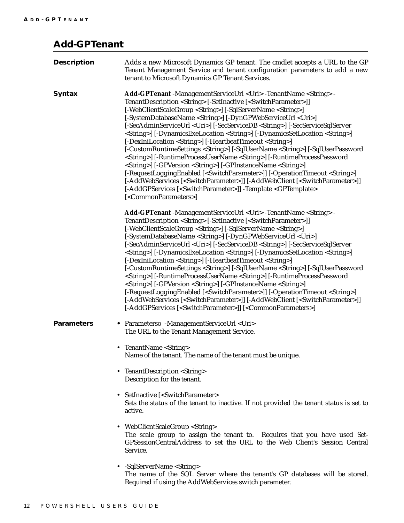## <span id="page-15-0"></span>**Add-GPTenant**

| <b>Description</b> | Adds a new Microsoft Dynamics GP tenant. The cmdlet accepts a URL to the GP<br>Tenant Management Service and tenant configuration parameters to add a new<br>tenant to Microsoft Dynamics GP Tenant Services.                                                                                                                                                                                                                                                                                                                                                                                                                                                                                                                                                                                                                                                                                                                                                                                                                                                                                                                                                                                                                                                                               |
|--------------------|---------------------------------------------------------------------------------------------------------------------------------------------------------------------------------------------------------------------------------------------------------------------------------------------------------------------------------------------------------------------------------------------------------------------------------------------------------------------------------------------------------------------------------------------------------------------------------------------------------------------------------------------------------------------------------------------------------------------------------------------------------------------------------------------------------------------------------------------------------------------------------------------------------------------------------------------------------------------------------------------------------------------------------------------------------------------------------------------------------------------------------------------------------------------------------------------------------------------------------------------------------------------------------------------|
| <b>Syntax</b>      | Add-GPTenant -ManagementServiceUrl <uri>-TenantName <string> -<br/>TenantDescription <string> [-SetInactive [<switchparameter>]]<br/>[-WebClientScaleGroup <string>] [-SqlServerName <string>]<br/>[-SystemDatabaseName <string>] [-DynGPWebServiceUrl <uri>]<br/>[-SecAdminServiceUrl <uri>] [-SecServiceDB <string>] [-SecServiceSqlServer<br/><string>] [-DynamicsExeLocation <string>] [-DynamicsSetLocation <string>]<br/>[-DexIniLocation <string>] [-HeartbeatTimeout <string>]<br/>[-CustomRuntimeSettings <string>] [-SqlUserName <string>] [-SqlUserPassword<br/><string>] [-RuntimeProcessUserName <string>] [-RuntimeProcessPassword<br/><string>] [-GPVersion <string>] [-GPInstanceName <string>]<br/>[-RequestLoggingEnabled [<switchparameter>]] [-OperationTimeout <string>]<br/>[-AddWebServices [<switchparameter>]] [-AddWebClient [<switchparameter>]]<br/>[-AddGPServices [<switchparameter>]] -Template <gptemplate><br/>[<commonparameters>]</commonparameters></gptemplate></switchparameter></switchparameter></switchparameter></string></switchparameter></string></string></string></string></string></string></string></string></string></string></string></string></string></uri></uri></string></string></string></switchparameter></string></string></uri> |
|                    | Add-GPTenant -ManagementServiceUrl <uri>-TenantName <string> -<br/>TenantDescription <string> [-SetInactive [<switchparameter>]]<br/>[-WebClientScaleGroup <string>] [-SqlServerName <string>]<br/>[-SystemDatabaseName <string>] [-DynGPWebServiceUrl <uri>]<br/>[-SecAdminServiceUrl <uri>] [-SecServiceDB <string>] [-SecServiceSqlServer<br/><string>] [-DynamicsExeLocation <string>] [-DynamicsSetLocation <string>]<br/>[-DexIniLocation <string>] [-HeartbeatTimeout <string>]<br/>[-CustomRuntimeSettings <string>] [-SqlUserName <string>] [-SqlUserPassword<br/><string>] [-RuntimeProcessUserName <string>] [-RuntimeProcessPassword<br/><string>] [-GPVersion <string>] [-GPInstanceName <string>]<br/>[-RequestLoggingEnabled [<switchparameter>]] [-OperationTimeout <string>]<br/>[-AddWebServices [<switchparameter>]] [-AddWebClient [<switchparameter>]]<br/>[-AddGPServices [<switchparameter>]] [<commonparameters>]</commonparameters></switchparameter></switchparameter></switchparameter></string></switchparameter></string></string></string></string></string></string></string></string></string></string></string></string></string></uri></uri></string></string></string></switchparameter></string></string></uri>                                         |
| <b>Parameters</b>  | • Parameterso -ManagementServiceUrl <uri><br/>The URL to the Tenant Management Service.</uri>                                                                                                                                                                                                                                                                                                                                                                                                                                                                                                                                                                                                                                                                                                                                                                                                                                                                                                                                                                                                                                                                                                                                                                                               |
|                    | • TenantName <string><br/>Name of the tenant. The name of the tenant must be unique.</string>                                                                                                                                                                                                                                                                                                                                                                                                                                                                                                                                                                                                                                                                                                                                                                                                                                                                                                                                                                                                                                                                                                                                                                                               |
|                    | • TenantDescription <string><br/>Description for the tenant.</string>                                                                                                                                                                                                                                                                                                                                                                                                                                                                                                                                                                                                                                                                                                                                                                                                                                                                                                                                                                                                                                                                                                                                                                                                                       |
|                    | • SetInactive [ <switchparameter><br/>Sets the status of the tenant to inactive. If not provided the tenant status is set to<br/>active.</switchparameter>                                                                                                                                                                                                                                                                                                                                                                                                                                                                                                                                                                                                                                                                                                                                                                                                                                                                                                                                                                                                                                                                                                                                  |
|                    | • WebClientScaleGroup <string><br/>The scale group to assign the tenant to. Requires that you have used Set-<br/>GPSessionCentralAddress to set the URL to the Web Client's Session Central<br/>Service.</string>                                                                                                                                                                                                                                                                                                                                                                                                                                                                                                                                                                                                                                                                                                                                                                                                                                                                                                                                                                                                                                                                           |
|                    | • -SqlServerName <string><br/>The name of the SQL Server where the tenant's GP databases will be stored.<br/>Required if using the AddWebServices switch parameter.</string>                                                                                                                                                                                                                                                                                                                                                                                                                                                                                                                                                                                                                                                                                                                                                                                                                                                                                                                                                                                                                                                                                                                |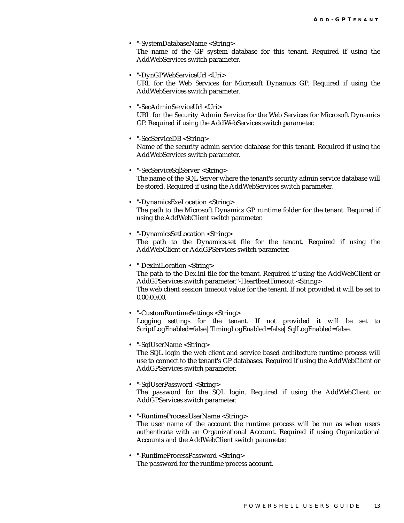- "-SystemDatabaseName <String> The name of the GP system database for this tenant. Required if using the AddWebServices switch parameter.
- "-DynGPWebServiceUrl <Uri> URL for the Web Services for Microsoft Dynamics GP. Required if using the AddWebServices switch parameter.
- "-SecAdminServiceUrl <Uri> URL for the Security Admin Service for the Web Services for Microsoft Dynamics GP. Required if using the AddWebServices switch parameter.
- "-SecServiceDB <String> Name of the security admin service database for this tenant. Required if using the AddWebServices switch parameter.
- "-SecServiceSqlServer <String> The name of the SQL Server where the tenant's security admin service database will be stored. Required if using the AddWebServices switch parameter.
- "-DynamicsExeLocation <String> The path to the Microsoft Dynamics GP runtime folder for the tenant. Required if using the AddWebClient switch parameter.
- "-DynamicsSetLocation <String> The path to the Dynamics.set file for the tenant. Required if using the AddWebClient or AddGPServices switch parameter.
- "-DexIniLocation <String> The path to the Dex.ini file for the tenant. Required if using the AddWebClient or AddGPServices switch parameter."-HeartbeatTimeout <String> The web client session timeout value for the tenant. If not provided it will be set to 0.00:00:00.
- "-CustomRuntimeSettings <String> Logging settings for the tenant. If not provided it will be set to ScriptLogEnabled=false|TimingLogEnabled=false|SqlLogEnabled=false.
- "-SqlUserName <String> The SQL login the web client and service based architecture runtime process will use to connect to the tenant's GP databases. Required if using the AddWebClient or AddGPServices switch parameter.
- "-SqlUserPassword <String> The password for the SQL login. Required if using the AddWebClient or AddGPServices switch parameter.
- "-RuntimeProcessUserName <String> The user name of the account the runtime process will be run as when users authenticate with an Organizational Account. Required if using Organizational Accounts and the AddWebClient switch parameter.
- "-RuntimeProcessPassword <String> The password for the runtime process account.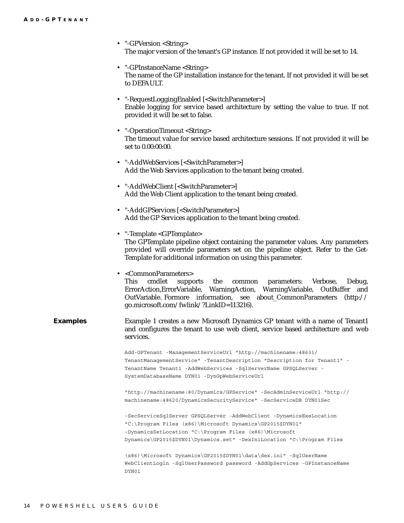|                 | • "-GPVersion <string><br/>The major version of the tenant's GP instance. If not provided it will be set to 14.</string>                                                                                                                                                                                                         |
|-----------------|----------------------------------------------------------------------------------------------------------------------------------------------------------------------------------------------------------------------------------------------------------------------------------------------------------------------------------|
|                 | • "-GPInstanceName <string><br/>The name of the GP installation instance for the tenant. If not provided it will be set<br/>to DEFAULT.</string>                                                                                                                                                                                 |
|                 | • "-RequestLoggingEnabled [ <switchparameter>]<br/>Enable logging for service based architecture by setting the value to true. If not<br/>provided it will be set to false.</switchparameter>                                                                                                                                    |
|                 | • "-OperationTimeout <string><br/>The timeout value for service based architecture sessions. If not provided it will be<br/>set to 0.00:00:00.</string>                                                                                                                                                                          |
|                 | • "-AddWebServices [ <switchparameter>]<br/>Add the Web Services application to the tenant being created.</switchparameter>                                                                                                                                                                                                      |
|                 | • "-AddWebClient [ <switchparameter>]<br/>Add the Web Client application to the tenant being created.</switchparameter>                                                                                                                                                                                                          |
|                 | • "-AddGPServices [ <switchparameter>]<br/>Add the GP Services application to the tenant being created.</switchparameter>                                                                                                                                                                                                        |
|                 | • "-Template <gptemplate><br/>The GPTemplate pipeline object containing the parameter values. Any parameters<br/>provided will override parameters set on the pipeline object. Refer to the Get-<br/>Template for additional information on using this parameter.</gptemplate>                                                   |
|                 | • <commonparameters><br/>cmdlet<br/>supports the<br/>This<br/>Verbose,<br/>common parameters:<br/>Debug,<br/>ErrorAction, ErrorVariable, WarningAction, WarningVariable, OutBuffer and<br/>OutVariable. Formore information, see about_CommonParameters (http://<br/>go.microsoft.com/fwlink/?LinkID=113216).</commonparameters> |
| <b>Examples</b> | Example 1 creates a new Microsoft Dynamics GP tenant with a name of Tenant1<br>and configures the tenant to use web client, service based architecture and web<br>services.                                                                                                                                                      |
|                 | Add-GPTenant -ManagementServiceUrl "http://machinename:48631/<br>TenantManagementService" -TenantDescription "Description for Tenant1" -<br>TenantName Tenant1 -AddWebServices -SqlServerName GPSQLServer -<br>SystemDatabaseName DYN01 -DynGpWebServiceUrl                                                                      |
|                 | "http://machinename:80/Dynamics/GPService" -SecAdminServiceUrl "http://<br>machinename: 48620/DynamicsSecurityService" -SecServiceDB DYN01Sec                                                                                                                                                                                    |
|                 | -SecServiceSqlServer GPSQLServer -AddWebClient -DynamicsExeLocation<br>"C:\Proqram Files (x86)\Microsoft Dynamics\GP2015\$DYN01"<br>-DynamicsSetLocation "C:\Program Files $(x86)$ \Microsoft<br>Dynamics\GP2015\$DYN01\Dynamics.set" -DexIniLocation "C:\Program Files                                                          |
|                 | $(x86)$ Microsoft Dynamics GP2015\$DYN01 data dex.ini" -SqlUserName<br>WebClientLogin -SqlUserPassword password -AddGpServices -GPInstanceName<br>DYN01                                                                                                                                                                          |
|                 |                                                                                                                                                                                                                                                                                                                                  |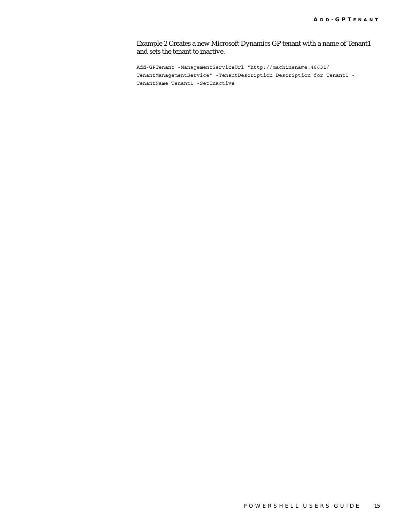#### Example 2 Creates a new Microsoft Dynamics GP tenant with a name of Tenant1 and sets the tenant to inactive.

Add-GPTenant -ManagementServiceUrl "http://machinename:48631/ TenantManagementService" -TenantDescription Description for Tenant1 - TenantName Tenant1 -SetInactive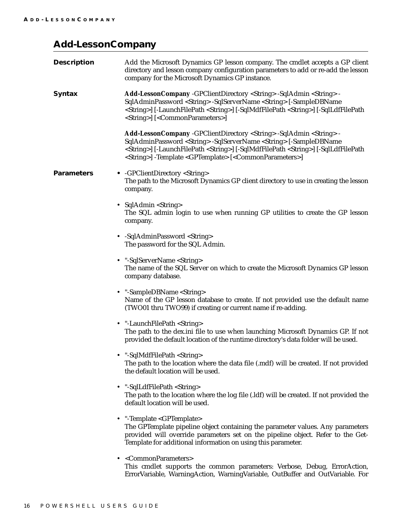### <span id="page-19-0"></span>**Add-LessonCompany**

| <b>Description</b> | Add the Microsoft Dynamics GP lesson company. The cmdlet accepts a GP client<br>directory and lesson company configuration parameters to add or re-add the lesson<br>company for the Microsoft Dynamics GP instance.                                                                                                                                                                           |
|--------------------|------------------------------------------------------------------------------------------------------------------------------------------------------------------------------------------------------------------------------------------------------------------------------------------------------------------------------------------------------------------------------------------------|
| <b>Syntax</b>      | Add-LessonCompany -GPClientDirectory <string> -SqlAdmin <string> -<br/>SqlAdminPassword <string> -SqlServerName <string> [-SampleDBName<br/><string>] [-LaunchFilePath <string>] [-SqlMdfFilePath <string>] [-SqlLdfFilePath<br/><string>] [<commonparameters>]</commonparameters></string></string></string></string></string></string></string></string>                                     |
|                    | Add-LessonCompany -GPClientDirectory <string> -SqlAdmin <string> -<br/>SqlAdminPassword <string> -SqlServerName <string> [-SampleDBName<br/><string>] [-LaunchFilePath <string>] [-SqlMdfFilePath <string>] [-SqlLdfFilePath<br/><string>] -Template <gptemplate> [<commonparameters>]</commonparameters></gptemplate></string></string></string></string></string></string></string></string> |
| <b>Parameters</b>  | • - GPClientDirectory <string><br/>The path to the Microsoft Dynamics GP client directory to use in creating the lesson<br/>company.</string>                                                                                                                                                                                                                                                  |
|                    | • SqlAdmin <string><br/>The SQL admin login to use when running GP utilities to create the GP lesson<br/>company.</string>                                                                                                                                                                                                                                                                     |
|                    | • -SqlAdminPassword <string><br/>The password for the SQL Admin.</string>                                                                                                                                                                                                                                                                                                                      |
|                    | • "-SqlServerName <string><br/>The name of the SQL Server on which to create the Microsoft Dynamics GP lesson<br/>company database.</string>                                                                                                                                                                                                                                                   |
|                    | • "-SampleDBName <string><br/>Name of the GP lesson database to create. If not provided use the default name<br/>(TWO01 thru TWO99) if creating or current name if re-adding.</string>                                                                                                                                                                                                         |
|                    | • "-LaunchFilePath <string><br/>The path to the dex.ini file to use when launching Microsoft Dynamics GP. If not<br/>provided the default location of the runtime directory's data folder will be used.</string>                                                                                                                                                                               |
|                    | "-SqlMdfFilePath <string><br/>The path to the location where the data file (.mdf) will be created. If not provided<br/>the default location will be used.</string>                                                                                                                                                                                                                             |
|                    | • "-SqlLdfFilePath <string><br/>The path to the location where the log file (.ldf) will be created. If not provided the<br/>default location will be used.</string>                                                                                                                                                                                                                            |
|                    | • "-Template <gptemplate><br/>The GPTemplate pipeline object containing the parameter values. Any parameters<br/>provided will override parameters set on the pipeline object. Refer to the Get-<br/>Template for additional information on using this parameter.</gptemplate>                                                                                                                 |
|                    | • <commonparameters><br/>This cmdlet supports the common parameters: Verbose, Debug, ErrorAction,<br/>ErrorVariable, WarningAction, WarningVariable, OutBuffer and OutVariable. For</commonparameters>                                                                                                                                                                                         |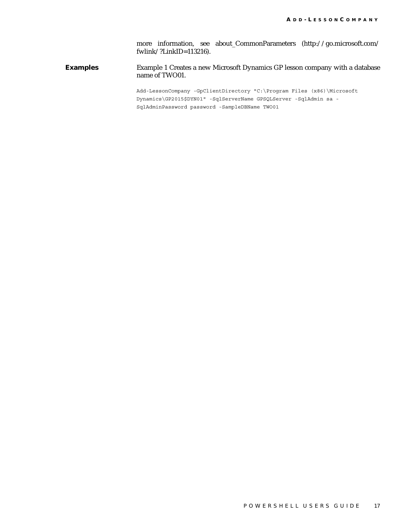more information, see about\_CommonParameters (http://go.microsoft.com/ fwlink/?LinkID=113216).

**Examples** Example 1 Creates a new Microsoft Dynamics GP lesson company with a database name of TWO01.

> Add-LessonCompany -GpClientDirectory "C:\Program Files (x86)\Microsoft Dynamics\GP2015\$DYN01" -SqlServerName GPSQLServer -SqlAdmin sa - SqlAdminPassword password -SampleDBName TWO01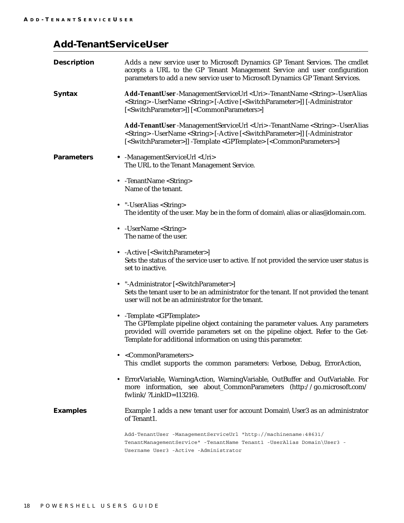## <span id="page-21-0"></span>**Add-TenantServiceUser**

| <b>Description</b> | Adds a new service user to Microsoft Dynamics GP Tenant Services. The cmdlet<br>accepts a URL to the GP Tenant Management Service and user configuration<br>parameters to add a new service user to Microsoft Dynamics GP Tenant Services.                                                                                         |
|--------------------|------------------------------------------------------------------------------------------------------------------------------------------------------------------------------------------------------------------------------------------------------------------------------------------------------------------------------------|
| <b>Syntax</b>      | Add-TenantUser-ManagementServiceUrl <uri>-TenantName <string>-UserAlias<br/><string> -UserName <string> [-Active [<switchparameter>]] [-Administrator<br/>[<switchparameter>]] [<commonparameters>]</commonparameters></switchparameter></switchparameter></string></string></string></uri>                                        |
|                    | Add-TenantUser -ManagementServiceUrl <uri> -TenantName <string> -UserAlias<br/><string> -UserName <string> [-Active [<switchparameter>]] [-Administrator<br/>[<switchparameter>]] -Template <gptemplate> [<commonparameters>]</commonparameters></gptemplate></switchparameter></switchparameter></string></string></string></uri> |
| <b>Parameters</b>  | • - Management Service Url < Uri ><br>The URL to the Tenant Management Service.                                                                                                                                                                                                                                                    |
|                    | • - TenantName < String ><br>Name of the tenant.                                                                                                                                                                                                                                                                                   |
|                    | • "-UserAlias <string><br/>The identity of the user. May be in the form of domain alias or alias@domain.com.</string>                                                                                                                                                                                                              |
|                    | • - UserName < String ><br>The name of the user.                                                                                                                                                                                                                                                                                   |
|                    | • - Active [ <switchparameter>]<br/>Sets the status of the service user to active. If not provided the service user status is<br/>set to inactive.</switchparameter>                                                                                                                                                               |
|                    | • "-Administrator [ <switchparameter>]<br/>Sets the tenant user to be an administrator for the tenant. If not provided the tenant<br/>user will not be an administrator for the tenant.</switchparameter>                                                                                                                          |
|                    | • - Template < GPTemplate><br>The GPTemplate pipeline object containing the parameter values. Any parameters<br>provided will override parameters set on the pipeline object. Refer to the Get-<br>Template for additional information on using this parameter.                                                                    |
|                    | <commonparameters><br/>This cmdlet supports the common parameters: Verbose, Debug, ErrorAction,</commonparameters>                                                                                                                                                                                                                 |
| ٠                  | ErrorVariable, WarningAction, WarningVariable, OutBuffer and OutVariable. For<br>more information, see about_CommonParameters (http://go.microsoft.com/<br>fwlink/?LinkID= $113216$ ).                                                                                                                                             |
| <b>Examples</b>    | Example 1 adds a new tenant user for account Domain \User3 as an administrator<br>of Tenant1.                                                                                                                                                                                                                                      |
|                    | Add-TenantUser -ManagementServiceUrl "http://machinename:48631/<br>TenantManagementService" -TenantName Tenant1 -UserAlias Domain\User3 -<br>Username User3 - Active - Administrator                                                                                                                                               |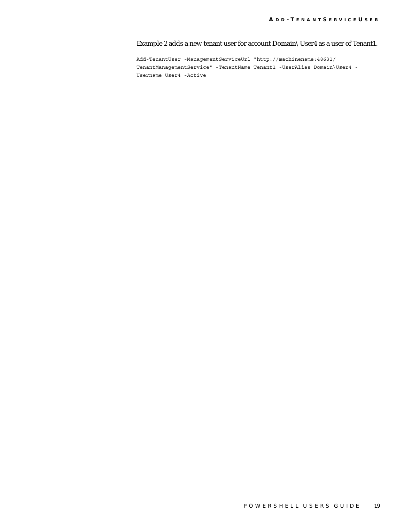Example 2 adds a new tenant user for account Domain\User4 as a user of Tenant1.

Add-TenantUser -ManagementServiceUrl "http://machinename:48631/ TenantManagementService" -TenantName Tenant1 -UserAlias Domain\User4 - Username User4 -Active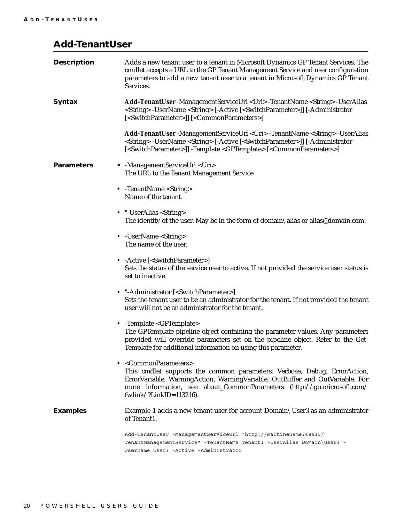### <span id="page-23-0"></span>**Add-TenantUser**

| <b>Description</b> | Adds a new tenant user to a tenant in Microsoft Dynamics GP Tenant Services. The<br>cmdlet accepts a URL to the GP Tenant Management Service and user configuration<br>parameters to add a new tenant user to a tenant in Microsoft Dynamics GP Tenant<br>Services.                                                                |
|--------------------|------------------------------------------------------------------------------------------------------------------------------------------------------------------------------------------------------------------------------------------------------------------------------------------------------------------------------------|
| <b>Syntax</b>      | Add-TenantUser -ManagementServiceUrl <uri> -TenantName <string> -UserAlias<br/><string> -UserName <string> [-Active [<switchparameter>]] [-Administrator<br/>[<switchparameter>]] [<commonparameters>]</commonparameters></switchparameter></switchparameter></string></string></string></uri>                                     |
|                    | Add-TenantUser -ManagementServiceUrl <uri> -TenantName <string> -UserAlias<br/><string> -UserName <string> [-Active [<switchparameter>]] [-Administrator<br/>[<switchparameter>]] -Template <gptemplate> [<commonparameters>]</commonparameters></gptemplate></switchparameter></switchparameter></string></string></string></uri> |
| <b>Parameters</b>  | • - ManagementServiceUrl <uri><br/>The URL to the Tenant Management Service.</uri>                                                                                                                                                                                                                                                 |
|                    | • - TenantName < String><br>Name of the tenant.                                                                                                                                                                                                                                                                                    |
|                    | • "-UserAlias <string><br/>The identity of the user. May be in the form of domain \alias or alias@domain.com.</string>                                                                                                                                                                                                             |
|                    | • - UserName < String ><br>The name of the user.                                                                                                                                                                                                                                                                                   |
|                    | • - Active [ <switchparameter>]<br/>Sets the status of the service user to active. If not provided the service user status is<br/>set to inactive.</switchparameter>                                                                                                                                                               |
|                    | • "-Administrator [ <switchparameter>]<br/>Sets the tenant user to be an administrator for the tenant. If not provided the tenant<br/>user will not be an administrator for the tenant.</switchparameter>                                                                                                                          |
|                    | • - Template <gptemplate><br/>The GPTemplate pipeline object containing the parameter values. Any parameters<br/>provided will override parameters set on the pipeline object. Refer to the Get-<br/>Template for additional information on using this parameter.</gptemplate>                                                     |
|                    | • <commonparameters><br/>This cmdlet supports the common parameters: Verbose, Debug, ErrorAction,<br/>ErrorVariable, WarningAction, WarningVariable, OutBuffer and OutVariable. For<br/>more information, see about_CommonParameters (http://go.microsoft.com/<br/>fwlink/?LinkID=<math>113216</math>).</commonparameters>         |
| <b>Examples</b>    | Example 1 adds a new tenant user for account Domain \User3 as an administrator<br>of Tenant1.                                                                                                                                                                                                                                      |
|                    | Add-TenantUser -ManagementServiceUrl "http://machinename:48631/<br>TenantManagementService" -TenantName Tenant1 -UserAlias Domain\User3 -<br>Username User3 - Active - Administrator                                                                                                                                               |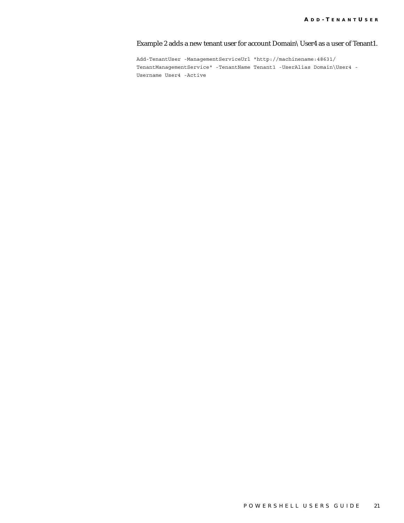#### Example 2 adds a new tenant user for account Domain\User4 as a user of Tenant1.

Add-TenantUser -ManagementServiceUrl "http://machinename:48631/ TenantManagementService" -TenantName Tenant1 -UserAlias Domain\User4 - Username User4 -Active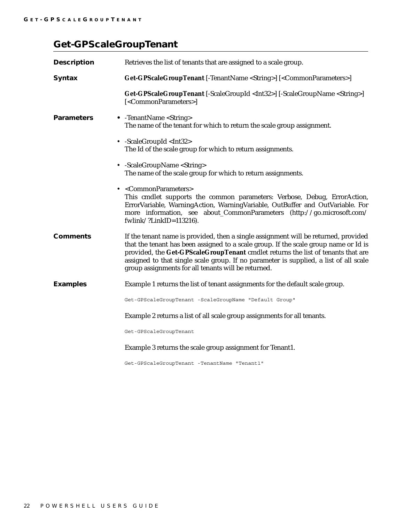## <span id="page-25-0"></span>**Get-GPScaleGroupTenant**

| <b>Description</b> | Retrieves the list of tenants that are assigned to a scale group.                                                                                                                                                                                                                                                                                                                                               |
|--------------------|-----------------------------------------------------------------------------------------------------------------------------------------------------------------------------------------------------------------------------------------------------------------------------------------------------------------------------------------------------------------------------------------------------------------|
| <b>Syntax</b>      | Get-GPScaleGroupTenant [-TenantName <string>] [<commonparameters>]</commonparameters></string>                                                                                                                                                                                                                                                                                                                  |
|                    | <b>Get-GPScaleGroupTenant</b> [-ScaleGroupId <int32>] [-ScaleGroupName <string>]<br/>[<commonparameters>]</commonparameters></string></int32>                                                                                                                                                                                                                                                                   |
| <b>Parameters</b>  | • -TenantName <string><br/>The name of the tenant for which to return the scale group assignment.</string>                                                                                                                                                                                                                                                                                                      |
|                    | • -ScaleGroupId <int32><br/>The Id of the scale group for which to return assignments.</int32>                                                                                                                                                                                                                                                                                                                  |
|                    | • -ScaleGroupName <string><br/>The name of the scale group for which to return assignments.</string>                                                                                                                                                                                                                                                                                                            |
|                    | • <commonparameters><br/>This cmdlet supports the common parameters: Verbose, Debug, ErrorAction,<br/>ErrorVariable, WarningAction, WarningVariable, OutBuffer and OutVariable. For<br/>more information, see about_CommonParameters (http://go.microsoft.com/<br/>fwlink/?LinkID=<math>113216</math>).</commonparameters>                                                                                      |
| <b>Comments</b>    | If the tenant name is provided, then a single assignment will be returned, provided<br>that the tenant has been assigned to a scale group. If the scale group name or Id is<br>provided, the Get-GPScaleGroupTenant cmdlet returns the list of tenants that are<br>assigned to that single scale group. If no parameter is supplied, a list of all scale<br>group assignments for all tenants will be returned. |
| <b>Examples</b>    | Example 1 returns the list of tenant assignments for the default scale group.                                                                                                                                                                                                                                                                                                                                   |
|                    | Get-GPScaleGroupTenant -ScaleGroupName "Default Group"                                                                                                                                                                                                                                                                                                                                                          |
|                    | Example 2 returns a list of all scale group assignments for all tenants.                                                                                                                                                                                                                                                                                                                                        |
|                    | Get-GPScaleGroupTenant                                                                                                                                                                                                                                                                                                                                                                                          |
|                    | Example 3 returns the scale group assignment for Tenant1.                                                                                                                                                                                                                                                                                                                                                       |
|                    | Get-GPScaleGroupTenant -TenantName "Tenant1"                                                                                                                                                                                                                                                                                                                                                                    |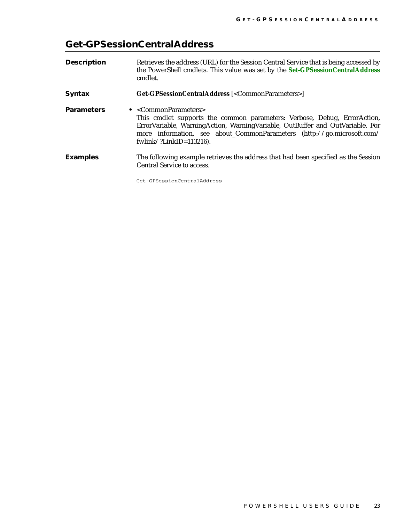## <span id="page-26-0"></span>**Get-GPSessionCentralAddress**

| <b>Description</b> | Retrieves the address (URL) for the Session Central Service that is being accessed by<br>the PowerShell cmdlets. This value was set by the <b>Set-GPSessionCentralAddress</b><br>cmdlet.                                                                                                      |
|--------------------|-----------------------------------------------------------------------------------------------------------------------------------------------------------------------------------------------------------------------------------------------------------------------------------------------|
| <b>Syntax</b>      | Get-GPSessionCentralAddress [ <commonparameters>]</commonparameters>                                                                                                                                                                                                                          |
| <b>Parameters</b>  | • $<$ CommonParameters><br>This cmdlet supports the common parameters: Verbose, Debug, ErrorAction,<br>ErrorVariable, WarningAction, WarningVariable, OutBuffer and OutVariable. For<br>more information, see about_CommonParameters (http://go.microsoft.com/<br>fwlink/?LinkID= $113216$ ). |
| <b>Examples</b>    | The following example retrieves the address that had been specified as the Session<br><b>Central Service to access.</b>                                                                                                                                                                       |

Get-GPSessionCentralAddress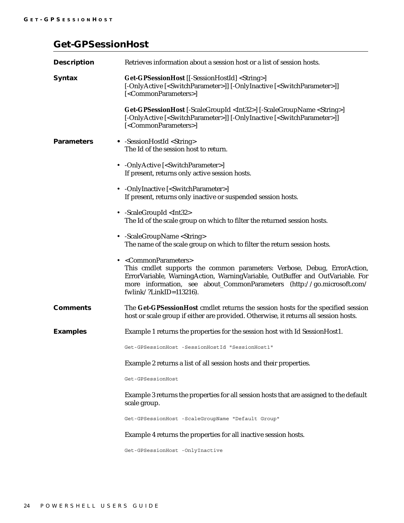### <span id="page-27-0"></span>**Get-GPSessionHost**

| <b>Description</b> | Retrieves information about a session host or a list of session hosts.                                                                                                                                                                                                                                                     |
|--------------------|----------------------------------------------------------------------------------------------------------------------------------------------------------------------------------------------------------------------------------------------------------------------------------------------------------------------------|
| <b>Syntax</b>      | Get-GPSessionHost [[-SessionHostId] <string>]<br/>[-OnlyActive [<switchparameter>]] [-OnlyInactive [<switchparameter>]]<br/>[<commonparameters>]</commonparameters></switchparameter></switchparameter></string>                                                                                                           |
|                    | Get-GPSessionHost [-ScaleGroupId <int32>] [-ScaleGroupName <string>]<br/>[-OnlyActive [<switchparameter>]] [-OnlyInactive [<switchparameter>]]<br/>[<commonparameters>]</commonparameters></switchparameter></switchparameter></string></int32>                                                                            |
| <b>Parameters</b>  | • -SessionHostId <string><br/>The Id of the session host to return.</string>                                                                                                                                                                                                                                               |
|                    | • -OnlyActive [ <switchparameter>]<br/>If present, returns only active session hosts.</switchparameter>                                                                                                                                                                                                                    |
|                    | • - OnlyInactive [ <switchparameter>]<br/>If present, returns only inactive or suspended session hosts.</switchparameter>                                                                                                                                                                                                  |
|                    | • -ScaleGroupId <int32><br/>The Id of the scale group on which to filter the returned session hosts.</int32>                                                                                                                                                                                                               |
|                    | • -ScaleGroupName <string><br/>The name of the scale group on which to filter the return session hosts.</string>                                                                                                                                                                                                           |
|                    | • <commonparameters><br/>This cmdlet supports the common parameters: Verbose, Debug, ErrorAction,<br/>ErrorVariable, WarningAction, WarningVariable, OutBuffer and OutVariable. For<br/>more information, see about_CommonParameters (http://go.microsoft.com/<br/>fwlink/?LinkID=<math>113216</math>).</commonparameters> |
| <b>Comments</b>    | The Get-GPSessionHost cmdlet returns the session hosts for the specified session<br>host or scale group if either are provided. Otherwise, it returns all session hosts.                                                                                                                                                   |
| <b>Examples</b>    | Example 1 returns the properties for the session host with Id SessionHost1.                                                                                                                                                                                                                                                |
|                    | Get-GPSessionHost -SessionHostId "SessionHost1"                                                                                                                                                                                                                                                                            |
|                    | Example 2 returns a list of all session hosts and their properties.                                                                                                                                                                                                                                                        |
|                    | Get-GPSessionHost                                                                                                                                                                                                                                                                                                          |
|                    | Example 3 returns the properties for all session hosts that are assigned to the default<br>scale group.                                                                                                                                                                                                                    |
|                    | Get-GPSessionHost -ScaleGroupName "Default Group"                                                                                                                                                                                                                                                                          |
|                    | Example 4 returns the properties for all inactive session hosts.                                                                                                                                                                                                                                                           |
|                    | Get-GPSessionHost -OnlyInactive                                                                                                                                                                                                                                                                                            |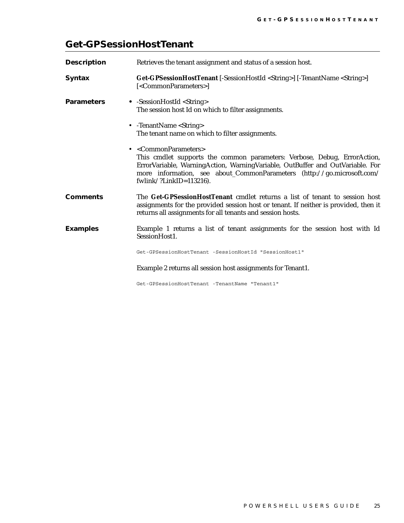## <span id="page-28-0"></span>**Get-GPSessionHostTenant**

| <b>Description</b> | Retrieves the tenant assignment and status of a session host.                                                                                                                                                                                                                                                              |
|--------------------|----------------------------------------------------------------------------------------------------------------------------------------------------------------------------------------------------------------------------------------------------------------------------------------------------------------------------|
| <b>Syntax</b>      | Get-GPSessionHostTenant [-SessionHostId <string>] [-TenantName <string>]<br/>[<commonparameters>]</commonparameters></string></string>                                                                                                                                                                                     |
| <b>Parameters</b>  | • -SessionHostId <string><br/>The session host Id on which to filter assignments.</string>                                                                                                                                                                                                                                 |
|                    | • - TenantName < String ><br>The tenant name on which to filter assignments.                                                                                                                                                                                                                                               |
|                    | • <commonparameters><br/>This cmdlet supports the common parameters: Verbose, Debug, ErrorAction,<br/>ErrorVariable, WarningAction, WarningVariable, OutBuffer and OutVariable. For<br/>more information, see about_CommonParameters (http://go.microsoft.com/<br/>fwlink/?LinkID=<math>113216</math>).</commonparameters> |
| <b>Comments</b>    | The Get-GPSessionHostTenant cmdlet returns a list of tenant to session host<br>assignments for the provided session host or tenant. If neither is provided, then it<br>returns all assignments for all tenants and session hosts.                                                                                          |
| <b>Examples</b>    | Example 1 returns a list of tenant assignments for the session host with Id<br>SessionHost1.                                                                                                                                                                                                                               |
|                    | Get-GPSessionHostTenant -SessionHostId "SessionHost1"                                                                                                                                                                                                                                                                      |
|                    | Example 2 returns all session host assignments for Tenant1.                                                                                                                                                                                                                                                                |
|                    | Get-GPSessionHostTenant -TenantName "Tenant1"                                                                                                                                                                                                                                                                              |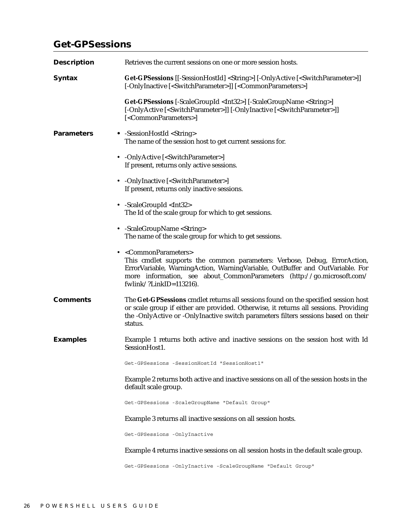## <span id="page-29-0"></span>**Get-GPSessions**

| <b>Description</b> | Retrieves the current sessions on one or more session hosts.                                                                                                                                                                                                                                                  |
|--------------------|---------------------------------------------------------------------------------------------------------------------------------------------------------------------------------------------------------------------------------------------------------------------------------------------------------------|
| <b>Syntax</b>      | <b>Get-GPSessions</b> [[-SessionHostId] <string>] [-OnlyActive [<switchparameter>]]<br/>[-OnlyInactive [<switchparameter>]] [<commonparameters>]</commonparameters></switchparameter></switchparameter></string>                                                                                              |
|                    | Get-GPSessions [-ScaleGroupId <int32>] [-ScaleGroupName <string>]<br/>[-OnlyActive [<switchparameter>]] [-OnlyInactive [<switchparameter>]]<br/>[<commonparameters>]</commonparameters></switchparameter></switchparameter></string></int32>                                                                  |
| <b>Parameters</b>  | • -SessionHostId <string><br/>The name of the session host to get current sessions for.</string>                                                                                                                                                                                                              |
|                    | • -OnlyActive [ <switchparameter>]<br/>If present, returns only active sessions.</switchparameter>                                                                                                                                                                                                            |
|                    | • -OnlyInactive [ <switchparameter>]<br/>If present, returns only inactive sessions.</switchparameter>                                                                                                                                                                                                        |
|                    | • -ScaleGroupId <int32><br/>The Id of the scale group for which to get sessions.</int32>                                                                                                                                                                                                                      |
|                    | • -ScaleGroupName <string><br/>The name of the scale group for which to get sessions.</string>                                                                                                                                                                                                                |
|                    | • <commonparameters><br/>This cmdlet supports the common parameters: Verbose, Debug, ErrorAction,<br/>ErrorVariable, WarningAction, WarningVariable, OutBuffer and OutVariable. For<br/>more information, see about_CommonParameters (http://go.microsoft.com/<br/>fwlink/?LinkID=113216).</commonparameters> |
| <b>Comments</b>    | The Get-GPSessions cmdlet returns all sessions found on the specified session host<br>or scale group if either are provided. Otherwise, it returns all sessions. Providing<br>the -OnlyActive or -OnlyInactive switch parameters filters sessions based on their<br>status.                                   |
| <b>Examples</b>    | Example 1 returns both active and inactive sessions on the session host with Id<br>SessionHost1.                                                                                                                                                                                                              |
|                    | Get-GPSessions -SessionHostId "SessionHost1"                                                                                                                                                                                                                                                                  |
|                    | Example 2 returns both active and inactive sessions on all of the session hosts in the<br>default scale group.                                                                                                                                                                                                |
|                    | Get-GPSessions -ScaleGroupName "Default Group"                                                                                                                                                                                                                                                                |
|                    | Example 3 returns all inactive sessions on all session hosts.                                                                                                                                                                                                                                                 |
|                    | Get-GPSessions -OnlyInactive                                                                                                                                                                                                                                                                                  |
|                    | Example 4 returns inactive sessions on all session hosts in the default scale group.                                                                                                                                                                                                                          |
|                    | Get-GPSessions -OnlyInactive -ScaleGroupName "Default Group"                                                                                                                                                                                                                                                  |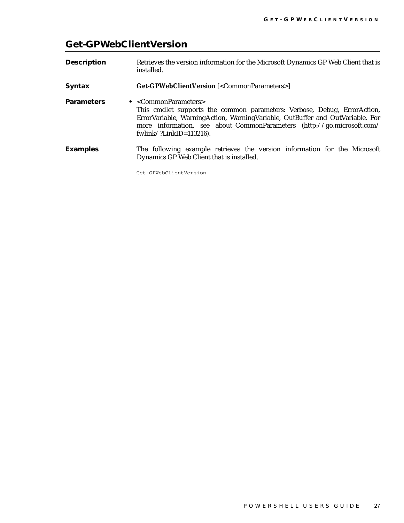## <span id="page-30-0"></span>**Get-GPWebClientVersion**

| <b>Description</b> | Retrieves the version information for the Microsoft Dynamics GP Web Client that is<br>installed.                                                                                                                                                                                                    |
|--------------------|-----------------------------------------------------------------------------------------------------------------------------------------------------------------------------------------------------------------------------------------------------------------------------------------------------|
| <b>Syntax</b>      | <b>Get-GPWebClientVersion</b> [ <commonparameters>]</commonparameters>                                                                                                                                                                                                                              |
| <b>Parameters</b>  | • $\langle$ CommonParameters><br>This cmdlet supports the common parameters: Verbose, Debug, ErrorAction,<br>ErrorVariable, WarningAction, WarningVariable, OutBuffer and OutVariable. For<br>more information, see about_CommonParameters (http://go.microsoft.com/<br>fwlink/?LinkID= $113216$ ). |
| <b>Examples</b>    | The following example retrieves the version information for the Microsoft<br>Dynamics GP Web Client that is installed.                                                                                                                                                                              |

Get-GPWebClientVersion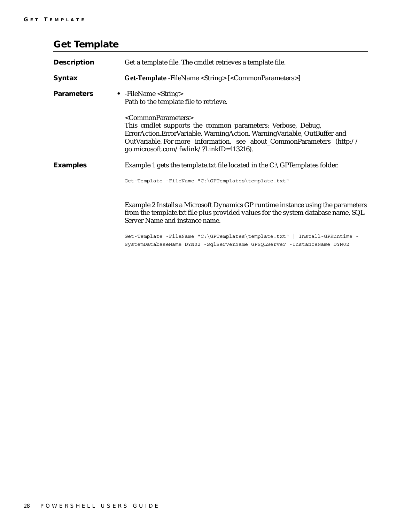## <span id="page-31-0"></span>**Get Template**

| <b>Description</b> | Get a template file. The cmdlet retrieves a template file.                                                                                                                                                                                                                                                      |
|--------------------|-----------------------------------------------------------------------------------------------------------------------------------------------------------------------------------------------------------------------------------------------------------------------------------------------------------------|
| <b>Syntax</b>      | Get-Template -FileName <string> [<commonparameters>]</commonparameters></string>                                                                                                                                                                                                                                |
| <b>Parameters</b>  | • -FileName <string><br/>Path to the template file to retrieve.</string>                                                                                                                                                                                                                                        |
|                    | <commonparameters><br/>This cmdlet supports the common parameters: Verbose, Debug,<br/>ErrorAction, Error Variable, Warning Action, Warning Variable, Out Buffer and<br/>OutVariable. For more information, see about_CommonParameters (http://<br/>go.microsoft.com/fwlink/?LinkID=113216).</commonparameters> |
| <b>Examples</b>    | Example 1 gets the template.txt file located in the $C:\G$ PTemplates folder.                                                                                                                                                                                                                                   |
|                    | Get-Template -FileName "C:\GPTemplates\template.txt"                                                                                                                                                                                                                                                            |
|                    | Example 2 Installs a Microsoft Dynamics GP runtime instance using the parameters<br>from the template.txt file plus provided values for the system database name, SQL<br>Server Name and instance name.                                                                                                         |
|                    | Get-Template -FileName "C:\GPTemplates\template.txt"   Install-GPRuntime -<br>SystemDatabaseName DYN02 -SqlServerName GPSQLServer -InstanceName DYN02                                                                                                                                                           |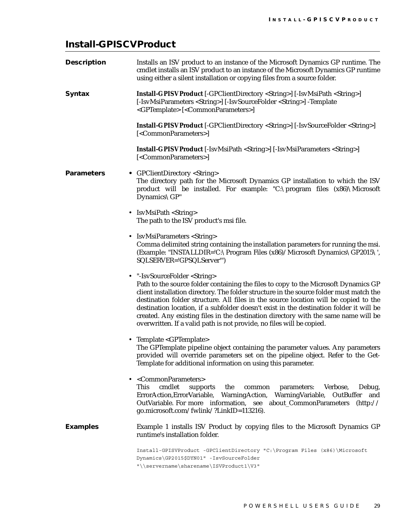## <span id="page-32-0"></span>**Install-GPISCVProduct**

| <b>Description</b> | Installs an ISV product to an instance of the Microsoft Dynamics GP runtime. The<br>cmdlet installs an ISV product to an instance of the Microsoft Dynamics GP runtime<br>using either a silent installation or copying files from a source folder.                                                                                                                                                                                                                                                                                                                              |
|--------------------|----------------------------------------------------------------------------------------------------------------------------------------------------------------------------------------------------------------------------------------------------------------------------------------------------------------------------------------------------------------------------------------------------------------------------------------------------------------------------------------------------------------------------------------------------------------------------------|
| <b>Syntax</b>      | <b>Install-GPISVProduct</b> [-GPClientDirectory <string>] [-IsvMsiPath <string>]<br/><gptemplate> [<commonparameters>]</commonparameters></gptemplate></string></string>                                                                                                                                                                                                                                                                                                                                                                                                         |
|                    | <b>Install-GPISVProduct</b> [-GPClientDirectory <string>] [-IsvSourceFolder <string>]<br/>[<commonparameters>]</commonparameters></string></string>                                                                                                                                                                                                                                                                                                                                                                                                                              |
|                    | Install-GPISVProduct [-IsvMsiPath <string>] [-IsvMsiParameters <string>]<br/>[<commonparameters>]</commonparameters></string></string>                                                                                                                                                                                                                                                                                                                                                                                                                                           |
| <b>Parameters</b>  | • GPClientDirectory <string><br/>The directory path for the Microsoft Dynamics GP installation to which the ISV<br/>product will be installed. For example: "C:\program files (x86)\Microsoft<br/>Dynamics\GP"</string>                                                                                                                                                                                                                                                                                                                                                          |
|                    | • IsvMsiPath <string><br/>The path to the ISV product's msi file.</string>                                                                                                                                                                                                                                                                                                                                                                                                                                                                                                       |
|                    | • IsvMsiParameters <string><br/>Comma delimited string containing the installation parameters for running the msi.<br/>(Example: "INSTALLDIR='C:\Program Files (x86)/Microsoft Dynamics\GP2015\',<br/>SQLSERVER='GPSQLServer'")</string>                                                                                                                                                                                                                                                                                                                                         |
|                    | • "-IsvSourceFolder <string><br/>Path to the source folder containing the files to copy to the Microsoft Dynamics GP<br/>client installation directory. The folder structure in the source folder must match the<br/>destination folder structure. All files in the source location will be copied to the<br/>destination location, if a subfolder doesn't exist in the destination folder it will be<br/>created. Any existing files in the destination directory with the same name will be<br/>overwritten. If a valid path is not provide, no files will be copied.</string> |
|                    | • Template <gptemplate><br/>The GPTemplate pipeline object containing the parameter values. Any parameters<br/>provided will override parameters set on the pipeline object. Refer to the Get-<br/>Template for additional information on using this parameter.</gptemplate>                                                                                                                                                                                                                                                                                                     |
|                    | <commonparameters><br/>cmdlet<br/>the<br/>This<br/>Verbose,<br/>Debug,<br/>supports<br/>parameters:<br/>common<br/>Warning Variable,<br/>ErrorAction, ErrorVariable, Warning Action,<br/>OutBuffer<br/>and<br/>OutVariable. For more information, see about_CommonParameters (http://<br/>go.microsoft.com/fwlink/?LinkID=113216).</commonparameters>                                                                                                                                                                                                                            |
| <b>Examples</b>    | Example 1 installs ISV Product by copying files to the Microsoft Dynamics GP<br>runtime's installation folder.                                                                                                                                                                                                                                                                                                                                                                                                                                                                   |
|                    | Install-GPISVProduct -GPClientDirectory "C:\Program Files (x86)\Microsoft<br>Dynamics\GP2015\$DYN01" -IsvSourceFolder                                                                                                                                                                                                                                                                                                                                                                                                                                                            |

"\\servername\sharename\ISVProduct1\V3"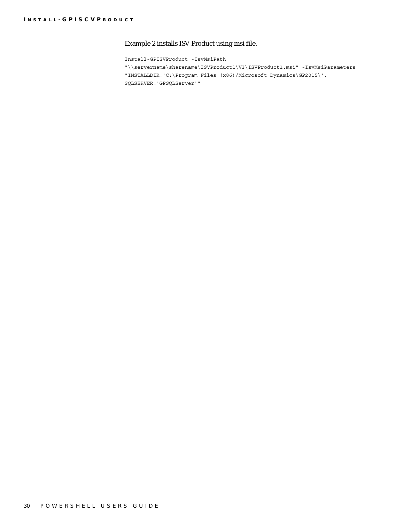#### Example 2 installs ISV Product using msi file.

Install-GPISVProduct -IsvMsiPath "\\servername\sharename\ISVProduct1\V3\ISVProduct1.msi" -IsvMsiParameters "INSTALLDIR='C:\Program Files (x86)/Microsoft Dynamics\GP2015\', SQLSERVER='GPSQLServer'"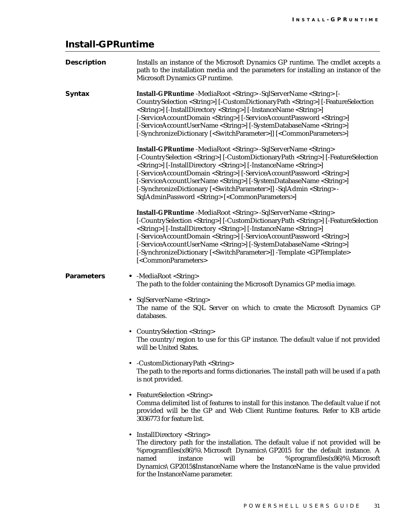## <span id="page-34-0"></span>**Install-GPRuntime**

| <b>Description</b> | Installs an instance of the Microsoft Dynamics GP runtime. The cmdlet accepts a<br>path to the installation media and the parameters for installing an instance of the<br>Microsoft Dynamics GP runtime.                                                                                                                                                                                                                                                                                                                                                                                                                                                       |
|--------------------|----------------------------------------------------------------------------------------------------------------------------------------------------------------------------------------------------------------------------------------------------------------------------------------------------------------------------------------------------------------------------------------------------------------------------------------------------------------------------------------------------------------------------------------------------------------------------------------------------------------------------------------------------------------|
| <b>Syntax</b>      | <b>Install-GPRuntime</b> -MediaRoot <string> -SqlServerName <string> [-<br/>CountrySelection <string>] [-CustomDictionaryPath <string>] [-FeatureSelection<br/><string>] [-InstallDirectory <string>] [-InstanceName <string>]<br/>[-ServiceAccountDomain <string>] [-ServiceAccountPassword <string>]<br/>[-ServiceAccountUserName <string>] [-SystemDatabaseName <string>]<br/>[-SynchronizeDictionary [<switchparameter>]] [<commonparameters>]</commonparameters></switchparameter></string></string></string></string></string></string></string></string></string></string></string>                                                                     |
|                    | <b>Install-GPRuntime</b> -MediaRoot <string> -SqlServerName <string><br/>[-CountrySelection <string>] [-CustomDictionaryPath <string>] [-FeatureSelection<br/><string>] [-InstallDirectory <string>] [-InstanceName <string>]<br/>[-ServiceAccountDomain <string>] [-ServiceAccountPassword <string>]<br/>[-ServiceAccountUserName <string>] [-SystemDatabaseName <string>]<br/>[-SynchronizeDictionary [<switchparameter>]] -SqlAdmin <string> -<br/>SqlAdminPassword <string> [<commonparameters>]</commonparameters></string></string></switchparameter></string></string></string></string></string></string></string></string></string></string></string> |
|                    | Install-GPRuntime -MediaRoot <string> -SqlServerName <string><br/>[-CountrySelection <string>] [-CustomDictionaryPath <string>] [-FeatureSelection<br/><string>] [-InstallDirectory <string>] [-InstanceName <string>]<br/>[-ServiceAccountDomain <string>] [-ServiceAccountPassword <string>]<br/>[-ServiceAccountUserName <string>] [-SystemDatabaseName <string>]<br/>[-SynchronizeDictionary [<switchparameter>]] -Template <gptemplate><br/>[<commonparameters></commonparameters></gptemplate></switchparameter></string></string></string></string></string></string></string></string></string></string></string>                                      |
| <b>Parameters</b>  | • - MediaRoot < String ><br>The path to the folder containing the Microsoft Dynamics GP media image.                                                                                                                                                                                                                                                                                                                                                                                                                                                                                                                                                           |
|                    | SqlServerName <string><br/>The name of the SQL Server on which to create the Microsoft Dynamics GP<br/>databases.</string>                                                                                                                                                                                                                                                                                                                                                                                                                                                                                                                                     |
|                    | • CountrySelection <string><br/>The country/region to use for this GP instance. The default value if not provided<br/>will be United States.</string>                                                                                                                                                                                                                                                                                                                                                                                                                                                                                                          |
|                    | • - Custom Dictionary Path < String ><br>The path to the reports and forms dictionaries. The install path will be used if a path<br>is not provided.                                                                                                                                                                                                                                                                                                                                                                                                                                                                                                           |
|                    | <b>FeatureSelection <string></string></b><br>Comma delimited list of features to install for this instance. The default value if not<br>provided will be the GP and Web Client Runtime features. Refer to KB article<br>3036773 for feature list.                                                                                                                                                                                                                                                                                                                                                                                                              |
|                    | InstallDirectory <string><br/>The directory path for the installation. The default value if not provided will be<br/>%programfiles(x86)%\Microsoft Dynamics\GP2015 for the default instance. A<br/>will<br/>named<br/>instance<br/>be<br/>%programfiles(x86)%\Microsoft<br/>Dynamics\GP2015\$InstanceName where the InstanceName is the value provided<br/>for the InstanceName parameter.</string>                                                                                                                                                                                                                                                            |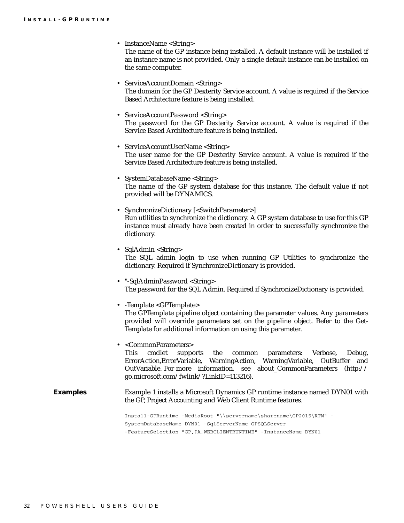• InstanceName <String>

|                 | The name of the GP instance being installed. A default instance will be installed if<br>an instance name is not provided. Only a single default instance can be installed on<br>the same computer.                                                                                                                                                |
|-----------------|---------------------------------------------------------------------------------------------------------------------------------------------------------------------------------------------------------------------------------------------------------------------------------------------------------------------------------------------------|
|                 | • ServiceAccountDomain <string><br/>The domain for the GP Dexterity Service account. A value is required if the Service<br/>Based Architecture feature is being installed.</string>                                                                                                                                                               |
|                 | • ServiceAccountPassword <string><br/>The password for the GP Dexterity Service account. A value is required if the<br/>Service Based Architecture feature is being installed.</string>                                                                                                                                                           |
|                 | • ServiceAccountUserName <string><br/>The user name for the GP Dexterity Service account. A value is required if the<br/>Service Based Architecture feature is being installed.</string>                                                                                                                                                          |
|                 | • SystemDatabaseName <string><br/>The name of the GP system database for this instance. The default value if not<br/>provided will be DYNAMICS.</string>                                                                                                                                                                                          |
|                 | • SynchronizeDictionary [ <switchparameter>]<br/>Run utilities to synchronize the dictionary. A GP system database to use for this GP<br/>instance must already have been created in order to successfully synchronize the<br/>dictionary.</switchparameter>                                                                                      |
|                 | • Sql $Admin$ < String ><br>The SQL admin login to use when running GP Utilities to synchronize the<br>dictionary. Required if SynchronizeDictionary is provided.                                                                                                                                                                                 |
|                 | • "-SqlAdminPassword <string><br/>The password for the SQL Admin. Required if SynchronizeDictionary is provided.</string>                                                                                                                                                                                                                         |
|                 | • - Template <gptemplate><br/>The GPTemplate pipeline object containing the parameter values. Any parameters<br/>provided will override parameters set on the pipeline object. Refer to the Get-<br/>Template for additional information on using this parameter.</gptemplate>                                                                    |
|                 | • <commonparameters><br/>cmdlet<br/>Verbose,<br/>This<br/>the<br/>common parameters:<br/>Debug,<br/>supports<br/>ErrorAction, ErrorVariable, WarningAction, WarningVariable,<br/>OutBuffer<br/>and<br/>OutVariable. For more information, see<br/>about_CommonParameters (http://<br/>go.microsoft.com/fwlink/?LinkID=113216).</commonparameters> |
| <b>Examples</b> | Example 1 installs a Microsoft Dynamics GP runtime instance named DYN01 with<br>the GP, Project Accounting and Web Client Runtime features.                                                                                                                                                                                                       |
|                 | Install-GPRuntime -MediaRoot "\\servername\sharename\GP2015\RTM" -<br>SystemDatabaseName DYN01 -SqlServerName GPSQLServer<br>-FeatureSelection "GP, PA, WEBCLIENTRUNTIME" - InstanceName DYN01                                                                                                                                                    |
|                 |                                                                                                                                                                                                                                                                                                                                                   |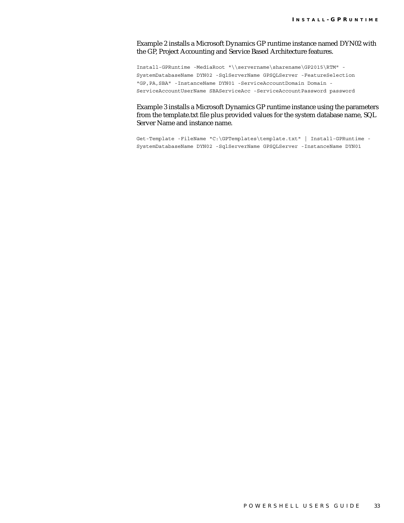Example 2 installs a Microsoft Dynamics GP runtime instance named DYN02 with the GP, Project Accounting and Service Based Architecture features.

Install-GPRuntime -MediaRoot "\\servername\sharename\GP2015\RTM" - SystemDatabaseName DYN02 -SqlServerName GPSQLServer -FeatureSelection "GP,PA,SBA" -InstanceName DYN01 -ServiceAccountDomain Domain - ServiceAccountUserName SBAServiceAcc -ServiceAccountPassword password

Example 3 installs a Microsoft Dynamics GP runtime instance using the parameters from the template.txt file plus provided values for the system database name, SQL Server Name and instance name.

Get-Template -FileName "C:\GPTemplates\template.txt" | Install-GPRuntime - SystemDatabaseName DYN02 -SqlServerName GPSQLServer -InstanceName DYN01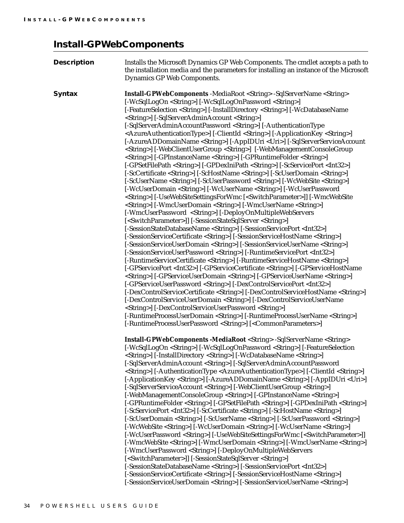## <span id="page-37-0"></span>**Install-GPWebComponents**

| <b>Description</b> | Installs the Microsoft Dynamics GP Web Components. The cmdlet accepts a path to<br>the installation media and the parameters for installing an instance of the Microsoft<br>Dynamics GP Web Components.                                                                                                                                                                                                                                                                                                                                                                                                                                                                                                                                                                                                                                                                                                                                                                                                                                                                                                                                                                                                                                                                                                                                                                                                                                                                                                                                                                                                                                                                                                                                                                                                                                                                                                                                                                                                                                                                                                                                                                                                                                                                                                                                                                                                                                                                                                                                                                                                                                                                               |
|--------------------|---------------------------------------------------------------------------------------------------------------------------------------------------------------------------------------------------------------------------------------------------------------------------------------------------------------------------------------------------------------------------------------------------------------------------------------------------------------------------------------------------------------------------------------------------------------------------------------------------------------------------------------------------------------------------------------------------------------------------------------------------------------------------------------------------------------------------------------------------------------------------------------------------------------------------------------------------------------------------------------------------------------------------------------------------------------------------------------------------------------------------------------------------------------------------------------------------------------------------------------------------------------------------------------------------------------------------------------------------------------------------------------------------------------------------------------------------------------------------------------------------------------------------------------------------------------------------------------------------------------------------------------------------------------------------------------------------------------------------------------------------------------------------------------------------------------------------------------------------------------------------------------------------------------------------------------------------------------------------------------------------------------------------------------------------------------------------------------------------------------------------------------------------------------------------------------------------------------------------------------------------------------------------------------------------------------------------------------------------------------------------------------------------------------------------------------------------------------------------------------------------------------------------------------------------------------------------------------------------------------------------------------------------------------------------------------|
| <b>Syntax</b>      | <b>Install-GPWebComponents</b> -MediaRoot <string> -SqlServerName <string><br/>[-WcSqlLogOn <string>] [-WcSqlLogOnPassword <string>]<br/>[-FeatureSelection <string>] [-InstallDirectory <string>] [-WcDatabaseName<br/><string>] [-SqlServerAdminAccount <string>]<br/>[-SqlServerAdminAccountPassword <string>] [-AuthenticationType<br/><azureauthenticationtype>] [-ClientId <string>] [-ApplicationKey <string>]<br/>[-AzureADDomainName <string>] [-AppIDUri <uri>] [-SqlServerServiceAccount<br/><string>] [-WebClientUserGroup <string>] [-WebManagementConsoleGroup<br/><string>] [-GPInstanceName <string>] [-GPRuntimeFolder <string>]<br/>[-GPSetFilePath <string>] [-GPDexIniPath <string>] [-ScServicePort <int32>]<br/>[-ScCertificate <string>] [-ScHostName <string>] [-ScUserDomain <string>]<br/>[-ScUserName <string>] [-ScUserPassword <string>] [-WcWebSite <string>]<br/><string>] [-UseWebSiteSettingsForWmc [<switchparameter>]] [-WmcWebSite<br/><string>] [-WmcUserDomain <string>] [-WmcUserName <string>]<br/>[-WmcUserPassword <string>] [-DeployOnMultipleWebServers<br/>[-SessionStateDatabaseName <string>] [-SessionServicePort <int32>]<br/>[-SessionServiceCertificate <string>] [-SessionServiceHostName <string>]<br/>[-SessionServiceUserDomain <string>] [-SessionServiceUserName <string>]<br/>[-SessionServiceUserPassword <string>] [-RuntimeServicePort <int32>]<br/>[-RuntimeServiceCertificate <string>] [-RuntimeServiceHostName <string>]<br/>[-GPServicePort <int32>] [-GPServiceCertificate <string>] [-GPServiceHostName<br/><string>] [-GPServiceUserDomain <string>] [-GPServiceUserName <string>]<br/>[-GPServiceUserPassword <string>] [-DexControlServicePort <int32>]<br/>[-DexControlServiceCertificate <string>] [-DexControlServiceHostName <string>]<br/>[-DexControlServiceUserDomain <string>] [-DexControlServiceUserName<br/><string>] [-DexControlServiceUserPassword <string>]<br/>[-RuntimeProcessUserDomain <string>] [-RuntimeProcessUserName <string>]<br/>[-RuntimeProcessUserPassword <string>] [<commonparameters>]</commonparameters></string></string></string></string></string></string></string></string></int32></string></string></string></string></string></int32></string></string></int32></string></string></string></string></string></int32></string></string></string></string></string></switchparameter></string></string></string></string></string></string></string></int32></string></string></string></string></string></string></string></uri></string></string></string></azureauthenticationtype></string></string></string></string></string></string></string></string></string> |
|                    | <b>Install-GPWebComponents -MediaRoot <string> -SqlServerName <string></string></string></b><br>[-WcSqlLogOn <string>] [-WcSqlLogOnPassword <string>] [-FeatureSelection<br/><string>] [-InstallDirectory <string>] [-WcDatabaseName <string>]<br/><string>] [-AuthenticationType <azureauthenticationtype>] [-ClientId <string>]<br/>[-ApplicationKey <string>] [-AzureADDomainName <string>] [-AppIDUri <uri>]<br/>[-SqlServerServiceAccount <string>] [-WebClientUserGroup <string>]<br/>[-WebManagementConsoleGroup <string>] [-GPInstanceName <string>]<br/>[-GPRuntimeFolder <string>] [-GPSetFilePath <string>] [-GPDexIniPath <string>]<br/>[-ScServicePort <int32>] [-ScCertificate <string>] [-ScHostName <string>]<br/>[-ScUserDomain <string>] [-ScUserName <string>] [-ScUserPassword <string>]<br/>[-WcWebSite <string>] [-WcUserDomain <string>] [-WcUserName <string>]<br/>[-WcUserPassword <string>] [-UseWebSiteSettingsForWmc [<switchparameter>]]<br/>[-WmcWebSite <string>] [-WmcUserDomain <string>] [-WmcUserName <string>]<br/>[-WmcUserPassword <string>] [-DeployOnMultipleWebServers<br/>[-SessionStateDatabaseName <string>] [-SessionServicePort <int32>]<br/>[-SessionServiceCertificate <string>] [-SessionServiceHostName <string>]<br/>[-SessionServiceUserDomain <string>] [-SessionServiceUserName <string>]</string></string></string></string></int32></string></string></string></string></string></switchparameter></string></string></string></string></string></string></string></string></string></int32></string></string></string></string></string></string></string></uri></string></string></string></azureauthenticationtype></string></string></string></string></string></string>                                                                                                                                                                                                                                                                                                                                                                                                                                                                                                                                                                                                                                                                                                                                                                                                                                                                                                                                                   |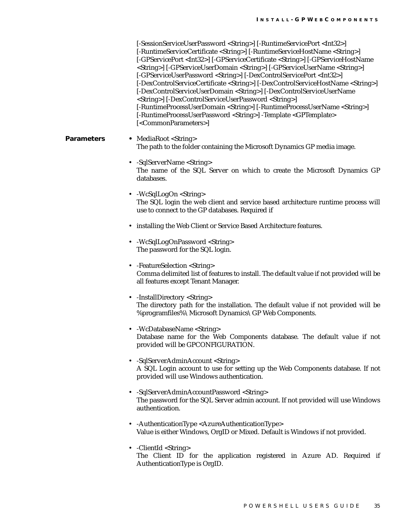[-SessionServiceUserPassword <String>] [-RuntimeServicePort <Int32>] [-RuntimeServiceCertificate <String>] [-RuntimeServiceHostName <String>] [-GPServicePort <Int32>] [-GPServiceCertificate <String>] [-GPServiceHostName <String>] [-GPServiceUserDomain <String>] [-GPServiceUserName <String>] [-GPServiceUserPassword <String>] [-DexControlServicePort <Int32>] [-DexControlServiceCertificate <String>] [-DexControlServiceHostName <String>] [-DexControlServiceUserDomain <String>] [-DexControlServiceUserName <String>] [-DexControlServiceUserPassword <String>] [-RuntimeProcessUserDomain <String>] [-RuntimeProcessUserName <String>] [-RuntimeProcessUserPassword <String>] -Template <GPTemplate> [<CommonParameters>]

#### **Parameters •** MediaRoot <String> The path to the folder containing the Microsoft Dynamics GP media image.

- -SqlServerName <String> The name of the SQL Server on which to create the Microsoft Dynamics GP databases.
- -WcSqlLogOn <String> The SQL login the web client and service based architecture runtime process will use to connect to the GP databases. Required if
- installing the Web Client or Service Based Architecture features.
- -WcSqlLogOnPassword <String> The password for the SQL login.
- -FeatureSelection <String> Comma delimited list of features to install. The default value if not provided will be all features except Tenant Manager.
- -InstallDirectory <String> The directory path for the installation. The default value if not provided will be %programfiles%\Microsoft Dynamics\GP Web Components.
- -WcDatabaseName <String> Database name for the Web Components database. The default value if not provided will be GPCONFIGURATION.
- -SqlServerAdminAccount <String> A SQL Login account to use for setting up the Web Components database. If not provided will use Windows authentication.
- -SqlServerAdminAccountPassword <String> The password for the SQL Server admin account. If not provided will use Windows authentication.
- -AuthenticationType <AzureAuthenticationType> Value is either Windows, OrgID or Mixed. Default is Windows if not provided.
- -ClientId <String> The Client ID for the application registered in Azure AD. Required if AuthenticationType is OrgID.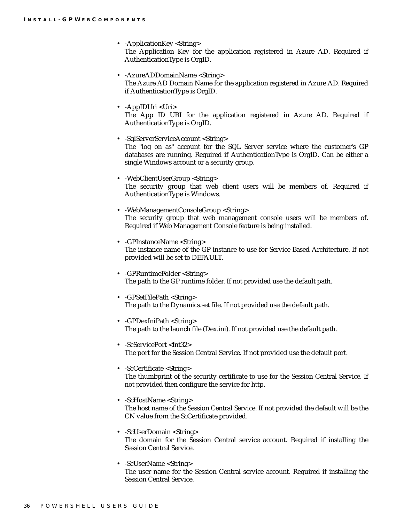- -ApplicationKey <String> The Application Key for the application registered in Azure AD. Required if AuthenticationType is OrgID.
- -AzureADDomainName <String> The Azure AD Domain Name for the application registered in Azure AD. Required if AuthenticationType is OrgID.
- -AppIDUri <Uri> The App ID URI for the application registered in Azure AD. Required if AuthenticationType is OrgID.
- -SqlServerServiceAccount <String> The "log on as" account for the SQL Server service where the customer's GP databases are running. Required if AuthenticationType is OrgID. Can be either a single Windows account or a security group.
- -WebClientUserGroup <String> The security group that web client users will be members of. Required if AuthenticationType is Windows.
- -WebManagementConsoleGroup <String> The security group that web management console users will be members of. Required if Web Management Console feature is being installed.
- -GPInstanceName <String> The instance name of the GP instance to use for Service Based Architecture. If not provided will be set to DEFAULT.
- -GPRuntimeFolder <String> The path to the GP runtime folder. If not provided use the default path.
- -GPSetFilePath <String> The path to the Dynamics.set file. If not provided use the default path.
- -GPDexIniPath <String> The path to the launch file (Dex.ini). If not provided use the default path.
- -ScServicePort <Int32> The port for the Session Central Service. If not provided use the default port.
- -ScCertificate <String> The thumbprint of the security certificate to use for the Session Central Service. If not provided then configure the service for http.
- -ScHostName <String> The host name of the Session Central Service. If not provided the default will be the CN value from the ScCertificate provided.
- -ScUserDomain <String> The domain for the Session Central service account. Required if installing the Session Central Service.
- -ScUserName <String> The user name for the Session Central service account. Required if installing the Session Central Service.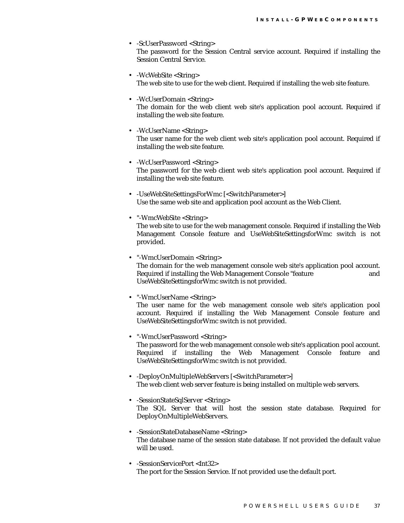- -ScUserPassword <String> The password for the Session Central service account. Required if installing the Session Central Service.
- -WcWebSite <String> The web site to use for the web client. Required if installing the web site feature.
- -WcUserDomain <String> The domain for the web client web site's application pool account. Required if installing the web site feature.
- -WcUserName <String> The user name for the web client web site's application pool account. Required if installing the web site feature.
- -WcUserPassword <String> The password for the web client web site's application pool account. Required if installing the web site feature.
- -UseWebSiteSettingsForWmc [<SwitchParameter>] Use the same web site and application pool account as the Web Client.
- "-WmcWebSite <String> The web site to use for the web management console. Required if installing the Web Management Console feature and UseWebSiteSettingsforWmc switch is not provided.
- "-WmcUserDomain <String> The domain for the web management console web site's application pool account. Required if installing the Web Management Console "feature and UseWebSiteSettingsforWmc switch is not provided.
- "-WmcUserName <String> The user name for the web management console web site's application pool account. Required if installing the Web Management Console feature and UseWebSiteSettingsforWmc switch is not provided.
- "-WmcUserPassword <String> The password for the web management console web site's application pool account. Required if installing the Web Management Console feature and UseWebSiteSettingsforWmc switch is not provided.
- -DeployOnMultipleWebServers [<SwitchParameter>] The web client web server feature is being installed on multiple web servers.
- -SessionStateSqlServer <String> The SQL Server that will host the session state database. Required for DeployOnMultipleWebServers.
- -SessionStateDatabaseName <String> The database name of the session state database. If not provided the default value will be used.
- -SessionServicePort <Int32> The port for the Session Service. If not provided use the default port.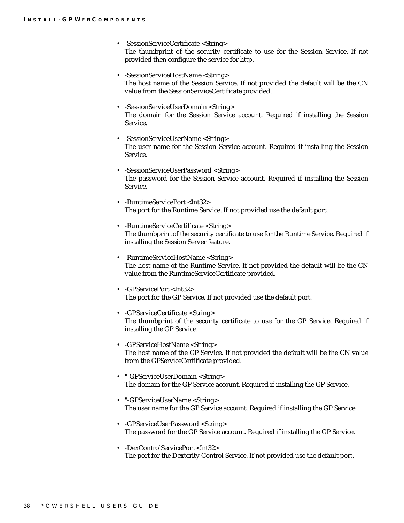- -SessionServiceCertificate <String> The thumbprint of the security certificate to use for the Session Service. If not provided then configure the service for http.
- -SessionServiceHostName <String> The host name of the Session Service. If not provided the default will be the CN value from the SessionServiceCertificate provided.
- -SessionServiceUserDomain <String> The domain for the Session Service account. Required if installing the Session Service.
- -SessionServiceUserName <String> The user name for the Session Service account. Required if installing the Session Service.
- -SessionServiceUserPassword <String> The password for the Session Service account. Required if installing the Session Service.
- -RuntimeServicePort <Int32> The port for the Runtime Service. If not provided use the default port.
- -RuntimeServiceCertificate <String> The thumbprint of the security certificate to use for the Runtime Service. Required if installing the Session Server feature.
- -RuntimeServiceHostName <String> The host name of the Runtime Service. If not provided the default will be the CN value from the RuntimeServiceCertificate provided.
- -GPServicePort <Int32> The port for the GP Service. If not provided use the default port.
- -GPServiceCertificate <String> The thumbprint of the security certificate to use for the GP Service. Required if installing the GP Service.
- -GPServiceHostName <String> The host name of the GP Service. If not provided the default will be the CN value from the GPServiceCertificate provided.
- "-GPServiceUserDomain <String> The domain for the GP Service account. Required if installing the GP Service.
- "-GPServiceUserName <String> The user name for the GP Service account. Required if installing the GP Service.
- -GPServiceUserPassword <String> The password for the GP Service account. Required if installing the GP Service.
- -DexControlServicePort <Int32> The port for the Dexterity Control Service. If not provided use the default port.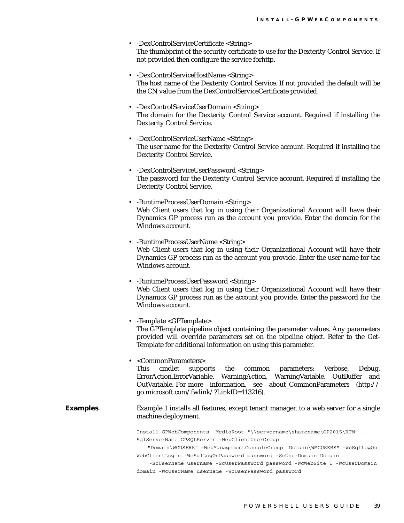- -DexControlServiceCertificate <String> The thumbprint of the security certificate to use for the Dexterity Control Service. If not provided then configure the service forhttp.
- -DexControlServiceHostName <String> The host name of the Dexterity Control Service. If not provided the default will be the CN value from the DexControlServiceCertificate provided.
- -DexControlServiceUserDomain <String> The domain for the Dexterity Control Service account. Required if installing the Dexterity Control Service.
- -DexControlServiceUserName <String> The user name for the Dexterity Control Service account. Required if installing the Dexterity Control Service.
- -DexControlServiceUserPassword <String> The password for the Dexterity Control Service account. Required if installing the Dexterity Control Service.
- -RuntimeProcessUserDomain <String> Web Client users that log in using their Organizational Account will have their Dynamics GP process run as the account you provide. Enter the domain for the Windows account.
- -RuntimeProcessUserName <String> Web Client users that log in using their Organizational Account will have their Dynamics GP process run as the account you provide. Enter the user name for the Windows account.
- -RuntimeProcessUserPassword <String> Web Client users that log in using their Organizational Account will have their Dynamics GP process run as the account you provide. Enter the password for the Windows account.
- -Template <GPTemplate> The GPTemplate pipeline object containing the parameter values. Any parameters provided will override parameters set on the pipeline object. Refer to the Get-Template for additional information on using this parameter.
- <CommonParameters> This cmdlet supports the common parameters: Verbose, Debug, ErrorAction,ErrorVariable, WarningAction, WarningVariable, OutBuffer and OutVariable. For more information, see about\_CommonParameters (http:// go.microsoft.com/fwlink/?LinkID=113216).
- **Examples** Example 1 installs all features, except tenant manager, to a web server for a single machine deployment.

Install-GPWebComponents -MediaRoot "\\servername\sharename\GP2015\RTM" - SqlServerName GPSQLServer -WebClientUserGroup

 "Domain\WCUSERS" -WebManagementConsoleGroup "Domain\WMCUSERS" -WcSqlLogOn WebClientLogin -WcSqlLogOnPassword password -ScUserDomain Domain

 -ScUserName username -ScUserPassword password -WcWebSite 1 -WcUserDomain domain -WcUserName username -WcUserPassword password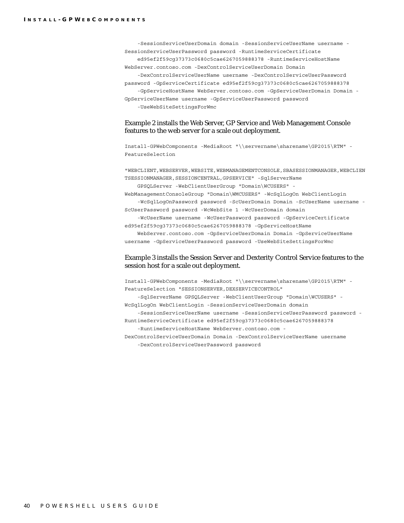-SessionServiceUserDomain domain -SessionServiceUserName username - SessionServiceUserPassword password -RuntimeServiceCertificate ed95ef2f59cg37373c0680c5cae6267059888378 -RuntimeServiceHostName WebServer.contoso.com -DexControlServiceUserDomain Domain -DexControlServiceUserName username -DexControlServiceUserPassword password -GpServiceCertificate ed95ef2f59cg37373c0680c5cae6267059888378 -GpServiceHostName WebServer.contoso.com -GpServiceUserDomain Domain - GpServiceUserName username -GpServiceUserPassword password -UseWebSiteSettingsForWmc

#### Example 2 installs the Web Server, GP Service and Web Management Console features to the web server for a scale out deployment.

Install-GPWebComponents -MediaRoot "\\servername\sharename\GP2015\RTM" - FeatureSelection

"WEBCLIENT, WEBSERVER, WEBSITE, WEBMANAGEMENTCONSOLE, SBASESSIONMANAGER, WEBCLIEN TSESSIONMANAGER,SESSIONCENTRAL,GPSERVICE" -SqlServerName

 GPSQLServer -WebClientUserGroup "Domain\WCUSERS" - WebManagementConsoleGroup "Domain\WMCUSERS" -WcSqlLogOn WebClientLogin

 -WcSqlLogOnPassword password -ScUserDomain Domain -ScUserName username - ScUserPassword password -WcWebSite 1 -WcUserDomain domain

 -WcUserName username -WcUserPassword password -GpServiceCertificate ed95ef2f59cg37373c0680c5cae6267059888378 -GpServiceHostName

 WebServer.contoso.com -GpServiceUserDomain Domain -GpServiceUserName username -GpServiceUserPassword password -UseWebSiteSettingsForWmc

#### Example 3 installs the Session Server and Dexterity Control Service features to the session host for a scale out deployment.

Install-GPWebComponents -MediaRoot "\\servername\sharename\GP2015\RTM" - FeatureSelection "SESSIONSERVER,DEXSERVICECONTROL" -SqlServerName GPSQLServer -WebClientUserGroup "Domain\WCUSERS" - WcSqlLogOn WebClientLogin -SessionServiceUserDomain domain -SessionServiceUserName username -SessionServiceUserPassword password -

RuntimeServiceCertificate ed95ef2f59cg37373c0680c5cae6267059888378 -RuntimeServiceHostName WebServer.contoso.com -

DexControlServiceUserDomain Domain -DexControlServiceUserName username -DexControlServiceUserPassword password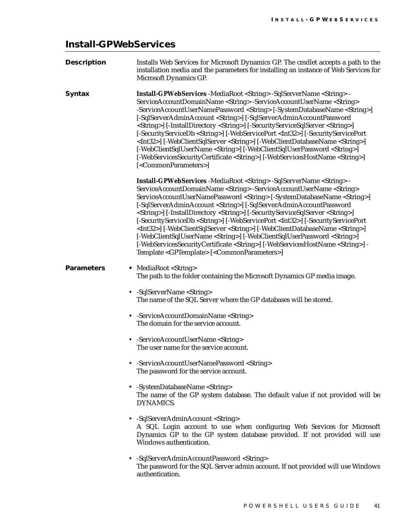## <span id="page-44-0"></span>**Install-GPWebServices**

| <b>Description</b> | Installs Web Services for Microsoft Dynamics GP. The cmdlet accepts a path to the<br>installation media and the parameters for installing an instance of Web Services for<br>Microsoft Dynamics GP.                                                                                                                                                                                                                                                                                                                                                                                                                                                                                                                                                                                                                                                                                                                                                            |
|--------------------|----------------------------------------------------------------------------------------------------------------------------------------------------------------------------------------------------------------------------------------------------------------------------------------------------------------------------------------------------------------------------------------------------------------------------------------------------------------------------------------------------------------------------------------------------------------------------------------------------------------------------------------------------------------------------------------------------------------------------------------------------------------------------------------------------------------------------------------------------------------------------------------------------------------------------------------------------------------|
| <b>Syntax</b>      | Install-GPWebServices -MediaRoot <string> -SqlServerName <string> -<br/>ServiceAccountDomainName <string> -ServiceAccountUserName <string><br/>-ServiceAccountUserNamePassword <string> [-SystemDatabaseName <string>]<br/>[-SqlServerAdminAccount <string>] [-SqlServerAdminAccountPassword<br/><string>] [-InstallDirectory <string>] [-SecurityServiceSqlServer <string>]<br/>[-SecurityServiceDb <string>] [-WebServicePort <int32>] [-SecurityServicePort<br/><int32>] [-WebClientSqlServer <string>] [-WebClientDatabaseName <string>]<br/>[-WebClientSqlUserName <string>] [-WebClientSqlUserPassword <string>]<br/>[-WebServicesSecurityCertificate <string>] [-WebServicesHostName <string>]<br/>[<commonparameters>]</commonparameters></string></string></string></string></string></string></int32></int32></string></string></string></string></string></string></string></string></string></string></string>                                     |
|                    | Install-GPWebServices -MediaRoot <string> -SqlServerName <string> -<br/>ServiceAccountDomainName <string> -ServiceAccountUserName <string><br/>ServiceAccountUserNamePassword <string> [-SystemDatabaseName <string>]<br/>[-SqlServerAdminAccount <string>] [-SqlServerAdminAccountPassword<br/><string>] [-InstallDirectory <string>] [-SecurityServiceSqlServer <string>]<br/>[-SecurityServiceDb <string>] [-WebServicePort <int32>] [-SecurityServicePort<br/><int32>] [-WebClientSqlServer <string>] [-WebClientDatabaseName <string>]<br/>[-WebClientSqlUserName <string>] [-WebClientSqlUserPassword <string>]<br/>[-WebServicesSecurityCertificate <string>] [-WebServicesHostName <string>] -<br/>Template <gptemplate> [<commonparameters>]</commonparameters></gptemplate></string></string></string></string></string></string></int32></int32></string></string></string></string></string></string></string></string></string></string></string> |
| <b>Parameters</b>  | • MediaRoot <string><br/>The path to the folder containing the Microsoft Dynamics GP media image.</string>                                                                                                                                                                                                                                                                                                                                                                                                                                                                                                                                                                                                                                                                                                                                                                                                                                                     |
|                    | • -SqlServerName <string><br/>The name of the SQL Server where the GP databases will be stored.</string>                                                                                                                                                                                                                                                                                                                                                                                                                                                                                                                                                                                                                                                                                                                                                                                                                                                       |
|                    | • -ServiceAccountDomainName <string><br/>The domain for the service account.</string>                                                                                                                                                                                                                                                                                                                                                                                                                                                                                                                                                                                                                                                                                                                                                                                                                                                                          |
|                    | • - Service Account User Name < String><br>The user name for the service account.                                                                                                                                                                                                                                                                                                                                                                                                                                                                                                                                                                                                                                                                                                                                                                                                                                                                              |
|                    | • -ServiceAccountUserNamePassword <string><br/>The password for the service account.</string>                                                                                                                                                                                                                                                                                                                                                                                                                                                                                                                                                                                                                                                                                                                                                                                                                                                                  |
|                    | • -SystemDatabaseName <string><br/>The name of the GP system database. The default value if not provided will be<br/><b>DYNAMICS.</b></string>                                                                                                                                                                                                                                                                                                                                                                                                                                                                                                                                                                                                                                                                                                                                                                                                                 |
|                    | • -SqlServerAdminAccount <string><br/>A SQL Login account to use when configuring Web Services for Microsoft<br/>Dynamics GP to the GP system database provided. If not provided will use<br/>Windows authentication.</string>                                                                                                                                                                                                                                                                                                                                                                                                                                                                                                                                                                                                                                                                                                                                 |
|                    | • -SqlServerAdminAccountPassword <string><br/>The password for the SQL Server admin account. If not provided will use Windows<br/>authentication.</string>                                                                                                                                                                                                                                                                                                                                                                                                                                                                                                                                                                                                                                                                                                                                                                                                     |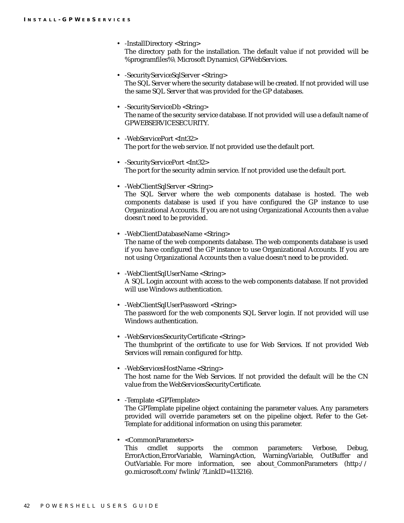- -InstallDirectory <String> The directory path for the installation. The default value if not provided will be %programfiles%\Microsoft Dynamics\GPWebServices.
- -SecurityServiceSqlServer <String> The SQL Server where the security database will be created. If not provided will use the same SQL Server that was provided for the GP databases.
- -SecurityServiceDb <String> The name of the security service database. If not provided will use a default name of GPWEBSERVICESECURITY.
- -WebServicePort <Int32> The port for the web service. If not provided use the default port.
- -SecurityServicePort <Int32> The port for the security admin service. If not provided use the default port.
- - WebClientSqlServer <String> The SQL Server where the web components database is hosted. The web components database is used if you have configured the GP instance to use Organizational Accounts. If you are not using Organizational Accounts then a value doesn't need to be provided.
- -WebClientDatabaseName <String> The name of the web components database. The web components database is used if you have configured the GP instance to use Organizational Accounts. If you are not using Organizational Accounts then a value doesn't need to be provided.
- - WebClientSqlUserName <String> A SQL Login account with access to the web components database. If not provided will use Windows authentication.
- -WebClientSqlUserPassword <String> The password for the web components SQL Server login. If not provided will use Windows authentication.
- -WebServicesSecurityCertificate <String> The thumbprint of the certificate to use for Web Services. If not provided Web Services will remain configured for http.
- - WebServicesHostName <String> The host name for the Web Services. If not provided the default will be the CN value from the WebServicesSecurityCertificate.
- -Template <GPTemplate>

The GPTemplate pipeline object containing the parameter values. Any parameters provided will override parameters set on the pipeline object. Refer to the Get-Template for additional information on using this parameter.

• <CommonParameters>

This cmdlet supports the common parameters: Verbose, Debug, ErrorAction,ErrorVariable, WarningAction, WarningVariable, OutBuffer and OutVariable. For more information, see about\_CommonParameters (http:// go.microsoft.com/fwlink/?LinkID=113216).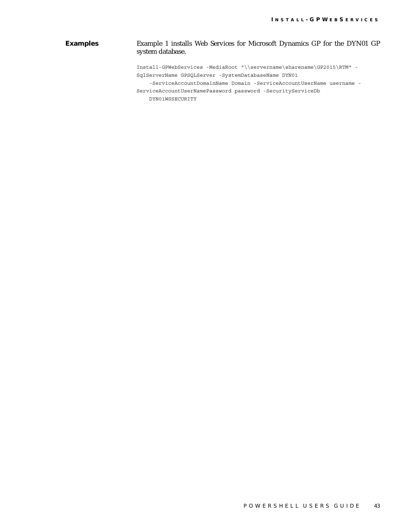#### **Examples** Example 1 installs Web Services for Microsoft Dynamics GP for the DYN01 GP system database.

Install-GPWebServices -MediaRoot "\\servername\sharename\GP2015\RTM" - SqlServerName GPSQLServer -SystemDatabaseName DYN01

-ServiceAccountDomainName Domain -ServiceAccountUserName username -

ServiceAccountUserNamePassword password -SecurityServiceDb

DYN01WSSECURITY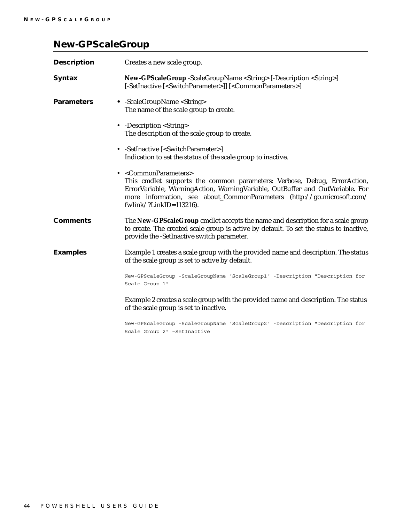## <span id="page-47-0"></span>**New-GPScaleGroup**

| <b>Description</b> | Creates a new scale group.                                                                                                                                                                                                                                                                                    |
|--------------------|---------------------------------------------------------------------------------------------------------------------------------------------------------------------------------------------------------------------------------------------------------------------------------------------------------------|
| <b>Syntax</b>      | New-GPScaleGroup -ScaleGroupName <string> [-Description <string>]<br/>[-SetInactive [<switchparameter>]] [<commonparameters>]</commonparameters></switchparameter></string></string>                                                                                                                          |
| <b>Parameters</b>  | • -ScaleGroupName <string><br/>The name of the scale group to create.</string>                                                                                                                                                                                                                                |
|                    | • -Description <string><br/>The description of the scale group to create.</string>                                                                                                                                                                                                                            |
|                    | • -SetInactive [ <switchparameter>]<br/>Indication to set the status of the scale group to inactive.</switchparameter>                                                                                                                                                                                        |
|                    | • <commonparameters><br/>This cmdlet supports the common parameters: Verbose, Debug, ErrorAction,<br/>ErrorVariable, WarningAction, WarningVariable, OutBuffer and OutVariable. For<br/>more information, see about_CommonParameters (http://go.microsoft.com/<br/>fwlink/?LinkID=113216).</commonparameters> |
| <b>Comments</b>    | The New-GPScaleGroup cmdlet accepts the name and description for a scale group<br>to create. The created scale group is active by default. To set the status to inactive,<br>provide the -SetInactive switch parameter.                                                                                       |
| <b>Examples</b>    | Example 1 creates a scale group with the provided name and description. The status<br>of the scale group is set to active by default.                                                                                                                                                                         |
|                    | New-GPScaleGroup -ScaleGroupName "ScaleGroup1" -Description "Description for<br>Scale Group 1"                                                                                                                                                                                                                |
|                    | Example 2 creates a scale group with the provided name and description. The status<br>of the scale group is set to inactive.                                                                                                                                                                                  |
|                    | New-GPScaleGroup -ScaleGroupName "ScaleGroup2" -Description "Description for                                                                                                                                                                                                                                  |

Scale Group 2" –SetInactive

44 POWERSHELL USERS GUIDE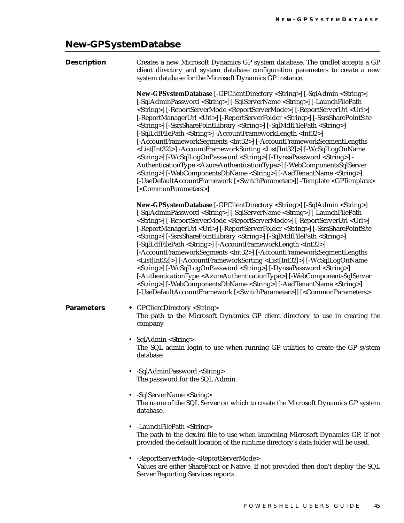### **New-GPSystemDatabse**

<span id="page-48-0"></span>

| <b>Description</b> | Creates a new Microsoft Dynamics GP system database. The cmdlet accepts a GP<br>client directory and system database configuration parameters to create a new<br>system database for the Microsoft Dynamics GP instance.                                                                                                                                                                                                                                                                                                                                                                                                                                                                                                                                                                                                                                                                                                                                                                                                                                                                                                                                                                                                                                     |
|--------------------|--------------------------------------------------------------------------------------------------------------------------------------------------------------------------------------------------------------------------------------------------------------------------------------------------------------------------------------------------------------------------------------------------------------------------------------------------------------------------------------------------------------------------------------------------------------------------------------------------------------------------------------------------------------------------------------------------------------------------------------------------------------------------------------------------------------------------------------------------------------------------------------------------------------------------------------------------------------------------------------------------------------------------------------------------------------------------------------------------------------------------------------------------------------------------------------------------------------------------------------------------------------|
|                    | New-GPSystemDatabase [-GPClientDirectory <string>] [-SqlAdmin <string>]<br/>[-SqlAdminPassword <string>] [-SqlServerName <string>] [-LaunchFilePath<br/><string>] [-ReportServerMode <reportservermode>] [-ReportServerUrl <url>]<br/>[-ReportManagerUrl <url>] [-ReportServerFolder <string>] [-SsrsSharePointSite<br/><string>] [-SsrsSharePointLibrary <string>] [-SqlMdfFilePath <string>]<br/>[-SqlLdfFilePath <string>] -AccountFrameworkLength <int32>]<br/>[-AccountFrameworkSegments <int32>] [-AccountFrameworkSegmentLengths<br/><list[int32]>] -AccountFrameworkSorting <list[int32]>] [-WcSqlLogOnName<br/><string>] [-WcSqlLogOnPassword <string>] [-DynsaPassword <string>] -<br/>AuthenticationType <azureauthenticationtype>] [-WebComponentsSqlServer<br/><string>] [-WebComponentsDbName <string>] [-AadTenantName <string>]<br/>[-UseDefaultAccountFramework [<switchparameter>]] -Template <gptemplate><br/>[<commonparameters>]</commonparameters></gptemplate></switchparameter></string></string></string></azureauthenticationtype></string></string></string></list[int32]></list[int32]></int32></int32></string></string></string></string></string></url></url></reportservermode></string></string></string></string></string> |
|                    | New-GPSystemDatabase [-GPClientDirectory <string>] [-SqlAdmin <string>]<br/>[-SqlAdminPassword <string>] [-SqlServerName <string>] [-LaunchFilePath<br/><string>] [-ReportServerMode <reportservermode>] [-ReportServerUrl <url>]<br/>[-ReportManagerUrl <url>] [-ReportServerFolder <string>] [-SsrsSharePointSite<br/><string>] [-SsrsSharePointLibrary <string>] [-SqlMdfFilePath <string>]<br/>[-SqlLdfFilePath <string>] [-AccountFrameworkLength <int32>]<br/>[-AccountFrameworkSegments <int32>] [-AccountFrameworkSegmentLengths<br/><list[int32]>] [-AccountFrameworkSorting <list[int32]>] [-WcSqlLogOnName<br/><string>] [-WcSqlLogOnPassword <string>] [-DynsaPassword <string>]<br/>[-AuthenticationType <azureauthenticationtype>] [-WebComponentsSqlServer<br/><string>] [-WebComponentsDbName <string>] [-AadTenantName <string>]<br/>[-UseDefaultAccountFramework [<switchparameter>]] [<commonparameters></commonparameters></switchparameter></string></string></string></azureauthenticationtype></string></string></string></list[int32]></list[int32]></int32></int32></string></string></string></string></string></url></url></reportservermode></string></string></string></string></string>                                        |
| <b>Parameters</b>  | • GPClientDirectory <string><br/>The path to the Microsoft Dynamics GP client directory to use in creating the<br/>company</string>                                                                                                                                                                                                                                                                                                                                                                                                                                                                                                                                                                                                                                                                                                                                                                                                                                                                                                                                                                                                                                                                                                                          |
|                    | • SqlAdmin <string><br/>The SQL admin login to use when running GP utilities to create the GP system<br/>database.</string>                                                                                                                                                                                                                                                                                                                                                                                                                                                                                                                                                                                                                                                                                                                                                                                                                                                                                                                                                                                                                                                                                                                                  |
|                    | -SqlAdminPassword <string><br/>The password for the SQL Admin.</string>                                                                                                                                                                                                                                                                                                                                                                                                                                                                                                                                                                                                                                                                                                                                                                                                                                                                                                                                                                                                                                                                                                                                                                                      |
|                    | -SqlServerName <string><br/>The name of the SQL Server on which to create the Microsoft Dynamics GP system<br/>database.</string>                                                                                                                                                                                                                                                                                                                                                                                                                                                                                                                                                                                                                                                                                                                                                                                                                                                                                                                                                                                                                                                                                                                            |
|                    | -LaunchFilePath <string><br/>The path to the dex.ini file to use when launching Microsoft Dynamics GP. If not<br/>provided the default location of the runtime directory's data folder will be used.</string>                                                                                                                                                                                                                                                                                                                                                                                                                                                                                                                                                                                                                                                                                                                                                                                                                                                                                                                                                                                                                                                |
|                    | -ReportServerMode > ReportServerMode                                                                                                                                                                                                                                                                                                                                                                                                                                                                                                                                                                                                                                                                                                                                                                                                                                                                                                                                                                                                                                                                                                                                                                                                                         |

• -ReportServerMode <ReportServerMode> Values are either SharePoint or Native. If not provided then don't deploy the SQL Server Reporting Services reports.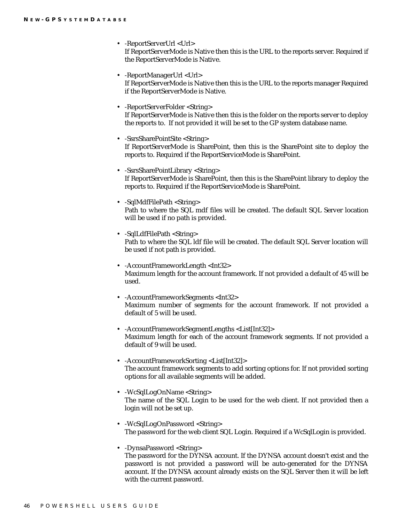- -ReportServerUrl <Url> If ReportServerMode is Native then this is the URL to the reports server. Required if the ReportServerMode is Native.
- -ReportManagerUrl <Url> If ReportServerMode is Native then this is the URL to the reports manager Required if the ReportServerMode is Native.
- -ReportServerFolder <String> If ReportServerMode is Native then this is the folder on the reports server to deploy the reports to. If not provided it will be set to the GP system database name.
- -SsrsSharePointSite <String> If ReportServerMode is SharePoint, then this is the SharePoint site to deploy the reports to. Required if the ReportServiceMode is SharePoint.
- -SsrsSharePointLibrary <String> If ReportServerMode is SharePoint, then this is the SharePoint library to deploy the reports to. Required if the ReportServiceMode is SharePoint.
- -SqlMdfFilePath <String> Path to where the SQL mdf files will be created. The default SQL Server location will be used if no path is provided.
- -SqlLdfFilePath <String> Path to where the SQL ldf file will be created. The default SQL Server location will be used if not path is provided.
- -AccountFrameworkLength <Int32> Maximum length for the account framework. If not provided a default of 45 will be used.
- -AccountFrameworkSegments <Int32> Maximum number of segments for the account framework. If not provided a default of 5 will be used.
- -AccountFrameworkSegmentLengths <List[Int32]> Maximum length for each of the account framework segments. If not provided a default of 9 will be used.
- -AccountFrameworkSorting <List[Int32]> The account framework segments to add sorting options for. If not provided sorting options for all available segments will be added.
- -WcSqlLogOnName <String> The name of the SQL Login to be used for the web client. If not provided then a login will not be set up.
- -WcSqlLogOnPassword <String> The password for the web client SQL Login. Required if a WcSqlLogin is provided.
- -DynsaPassword <String> The password for the DYNSA account. If the DYNSA account doesn't exist and the password is not provided a password will be auto-generated for the DYNSA account. If the DYNSA account already exists on the SQL Server then it will be left with the current password.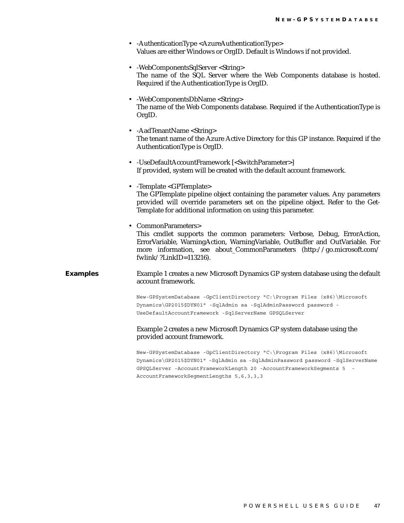- -AuthenticationType <AzureAuthenticationType> Values are either Windows or OrgID. Default is Windows if not provided.
- - WebComponentsSqlServer <String> The name of the SQL Server where the Web Components database is hosted. Required if the AuthenticationType is OrgID.
- - WebComponentsDbName <String> The name of the Web Components database. Required if the AuthenticationType is OrgID.
- -AadTenantName <String> The tenant name of the Azure Active Directory for this GP instance. Required if the AuthenticationType is OrgID.
- -UseDefaultAccountFramework [<SwitchParameter>] If provided, system will be created with the default account framework.
- -Template <GPTemplate> The GPTemplate pipeline object containing the parameter values. Any parameters provided will override parameters set on the pipeline object. Refer to the Get-Template for additional information on using this parameter.
- CommonParameters> This cmdlet supports the common parameters: Verbose, Debug, ErrorAction, ErrorVariable, WarningAction, WarningVariable, OutBuffer and OutVariable. For more information, see about\_CommonParameters (http://go.microsoft.com/ fwlink/?LinkID=113216).

#### **Examples** Example 1 creates a new Microsoft Dynamics GP system database using the default account framework.

New-GPSystemDatabase -GpClientDirectory "C:\Program Files (x86)\Microsoft Dynamics\GP2015\$DYN01" -SqlAdmin sa -SqlAdminPassword password - UseDefaultAccountFramework -SqlServerName GPSQLServer

#### Example 2 creates a new Microsoft Dynamics GP system database using the provided account framework.

New-GPSystemDatabase -GpClientDirectory "C:\Program Files (x86)\Microsoft Dynamics\GP2015\$DYN01" -SqlAdmin sa -SqlAdminPassword password -SqlServerName GPSQLServer -AccountFrameworkLength 20 -AccountFrameworkSeqments 5 AccountFrameworkSegmentLengths 5,6,3,3,3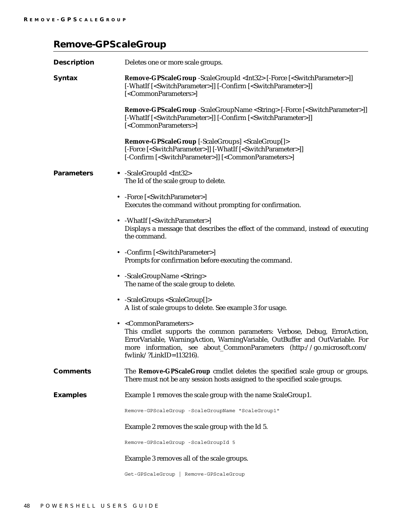## <span id="page-51-0"></span>**Remove-GPScaleGroup**

| <b>Description</b> | Deletes one or more scale groups.                                                                                                                                                                                                                                                                             |
|--------------------|---------------------------------------------------------------------------------------------------------------------------------------------------------------------------------------------------------------------------------------------------------------------------------------------------------------|
| <b>Syntax</b>      | <b>Remove-GPScaleGroup</b> -ScaleGroupId <int32> [-Force [<switchparameter>]]<br/>[-WhatIf [<switchparameter>]] [-Confirm [<switchparameter>]]<br/>[<commonparameters>]</commonparameters></switchparameter></switchparameter></switchparameter></int32>                                                      |
|                    | <b>Remove-GPScaleGroup</b> -ScaleGroupName <string> [-Force [<switchparameter>]]<br/>[-WhatIf [<switchparameter>]] [-Confirm [<switchparameter>]]<br/>[<commonparameters>]</commonparameters></switchparameter></switchparameter></switchparameter></string>                                                  |
|                    | Remove-GPScaleGroup [-ScaleGroups] <scalegroup[]><br/>[-Force [<switchparameter>]] [-WhatIf [<switchparameter>]]<br/>[-Confirm [<switchparameter>]] [<commonparameters>]</commonparameters></switchparameter></switchparameter></switchparameter></scalegroup[]>                                              |
| <b>Parameters</b>  | • -ScaleGroupId <int32><br/>The Id of the scale group to delete.</int32>                                                                                                                                                                                                                                      |
|                    | • - Force [ <switchparameter>]<br/>Executes the command without prompting for confirmation.</switchparameter>                                                                                                                                                                                                 |
|                    | • - WhatIf [ <switchparameter>]<br/>Displays a message that describes the effect of the command, instead of executing<br/>the command.</switchparameter>                                                                                                                                                      |
|                    | • - Confirm [ <switchparameter>]<br/>Prompts for confirmation before executing the command.</switchparameter>                                                                                                                                                                                                 |
|                    | • -ScaleGroupName <string><br/>The name of the scale group to delete.</string>                                                                                                                                                                                                                                |
|                    | • -ScaleGroups <scalegroup[]><br/>A list of scale groups to delete. See example 3 for usage.</scalegroup[]>                                                                                                                                                                                                   |
|                    | • <commonparameters><br/>This cmdlet supports the common parameters: Verbose, Debug, ErrorAction,<br/>ErrorVariable, WarningAction, WarningVariable, OutBuffer and OutVariable. For<br/>more information, see about_CommonParameters (http://go.microsoft.com/<br/>fwlink/?LinkID=113216).</commonparameters> |
| <b>Comments</b>    | The Remove-GPScaleGroup cmdlet deletes the specified scale group or groups.<br>There must not be any session hosts assigned to the specified scale groups.                                                                                                                                                    |
| <b>Examples</b>    | Example 1 removes the scale group with the name ScaleGroup1.                                                                                                                                                                                                                                                  |
|                    | Remove-GPScaleGroup -ScaleGroupName "ScaleGroup1"                                                                                                                                                                                                                                                             |
|                    | Example 2 removes the scale group with the Id 5.                                                                                                                                                                                                                                                              |
|                    | Remove-GPScaleGroup -ScaleGroupId 5                                                                                                                                                                                                                                                                           |
|                    | Example 3 removes all of the scale groups.                                                                                                                                                                                                                                                                    |
|                    | Get-GPScaleGroup<br>Remove-GPScaleGroup                                                                                                                                                                                                                                                                       |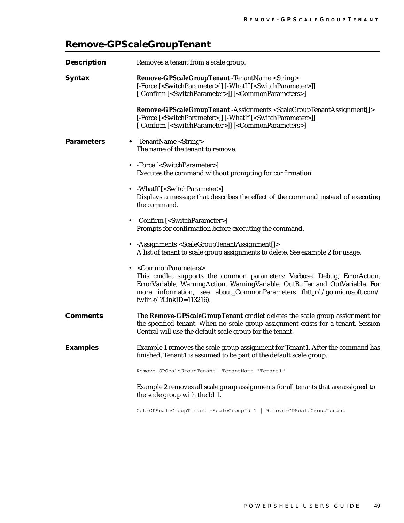## <span id="page-52-0"></span>**Remove-GPScaleGroupTenant**

| <b>Description</b> | Removes a tenant from a scale group.                                                                                                                                                                                                                                                                                       |
|--------------------|----------------------------------------------------------------------------------------------------------------------------------------------------------------------------------------------------------------------------------------------------------------------------------------------------------------------------|
| <b>Syntax</b>      | Remove-GPScaleGroupTenant -TenantName <string><br/>[-Force [<switchparameter>]] [-WhatIf [<switchparameter>]]<br/>[-Confirm [<switchparameter>]] [<commonparameters>]</commonparameters></switchparameter></switchparameter></switchparameter></string>                                                                    |
|                    | Remove-GPScaleGroupTenant-Assignments <scalegrouptenantassignment[]><br/>[-Force [<switchparameter>]] [-WhatIf [<switchparameter>]]<br/>[-Confirm [<switchparameter>]] [<commonparameters>]</commonparameters></switchparameter></switchparameter></switchparameter></scalegrouptenantassignment[]>                        |
| <b>Parameters</b>  | • -TenantName <string><br/>The name of the tenant to remove.</string>                                                                                                                                                                                                                                                      |
|                    | • -Force [ <switchparameter>]<br/>Executes the command without prompting for confirmation.</switchparameter>                                                                                                                                                                                                               |
|                    | • - WhatIf [ <switchparameter>]<br/>Displays a message that describes the effect of the command instead of executing<br/>the command.</switchparameter>                                                                                                                                                                    |
|                    | • - Confirm [ <switchparameter>]<br/>Prompts for confirmation before executing the command.</switchparameter>                                                                                                                                                                                                              |
|                    | • - Assignments < Scale Group Tenant Assignment [] ><br>A list of tenant to scale group assignments to delete. See example 2 for usage.                                                                                                                                                                                    |
|                    | • <commonparameters><br/>This cmdlet supports the common parameters: Verbose, Debug, ErrorAction,<br/>ErrorVariable, WarningAction, WarningVariable, OutBuffer and OutVariable. For<br/>more information, see about_CommonParameters (http://go.microsoft.com/<br/>fwlink/?LinkID=<math>113216</math>).</commonparameters> |
| <b>Comments</b>    | The Remove-GPScaleGroupTenant cmdlet deletes the scale group assignment for<br>the specified tenant. When no scale group assignment exists for a tenant, Session<br>Central will use the default scale group for the tenant.                                                                                               |
| <b>Examples</b>    | Example 1 removes the scale group assignment for Tenant1. After the command has<br>finished, Tenant1 is assumed to be part of the default scale group.                                                                                                                                                                     |
|                    | Remove-GPScaleGroupTenant -TenantName "Tenant1"                                                                                                                                                                                                                                                                            |
|                    | Example 2 removes all scale group assignments for all tenants that are assigned to<br>the scale group with the Id 1.                                                                                                                                                                                                       |

Get-GPScaleGroupTenant -ScaleGroupId 1 | Remove-GPScaleGroupTenant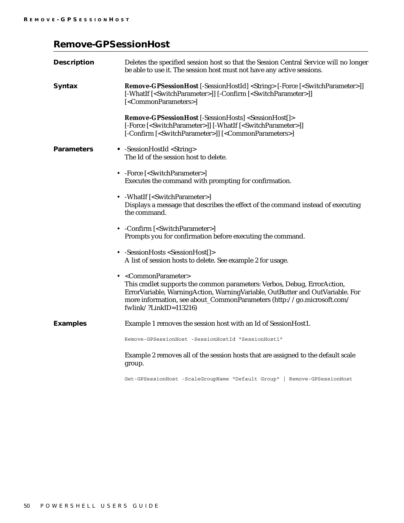## <span id="page-53-0"></span>**Remove-GPSessionHost**

| <b>Description</b> | Deletes the specified session host so that the Session Central Service will no longer<br>be able to use it. The session host must not have any active sessions.                                                                                                                                           |
|--------------------|-----------------------------------------------------------------------------------------------------------------------------------------------------------------------------------------------------------------------------------------------------------------------------------------------------------|
| <b>Syntax</b>      | Remove-GPSessionHost [-SessionHostId] <string> [-Force [<switchparameter>]]<br/>[-WhatIf [<switchparameter>]] [-Confirm [<switchparameter>]]<br/>[<commonparameters>]</commonparameters></switchparameter></switchparameter></switchparameter></string>                                                   |
|                    | Remove-GPSessionHost [-SessionHosts] <sessionhost[]><br/>[-Force [<switchparameter>]] [-WhatIf [<switchparameter>]]<br/>[-Confirm [<switchparameter>]] [<commonparameters>]</commonparameters></switchparameter></switchparameter></switchparameter></sessionhost[]>                                      |
| <b>Parameters</b>  | • -SessionHostId <string><br/>The Id of the session host to delete.</string>                                                                                                                                                                                                                              |
|                    | • -Force [ <switchparameter>]<br/>Executes the command with prompting for confirmation.</switchparameter>                                                                                                                                                                                                 |
|                    | • - WhatIf [ <switchparameter>]<br/>Displays a message that describes the effect of the command instead of executing<br/>the command.</switchparameter>                                                                                                                                                   |
|                    | • - Confirm [ <switchparameter>]<br/>Prompts you for confirmation before executing the command.</switchparameter>                                                                                                                                                                                         |
|                    | • -SessionHosts <sessionhost[]><br/>A list of session hosts to delete. See example 2 for usage.</sessionhost[]>                                                                                                                                                                                           |
|                    | • <commonparameter><br/>This cmdlet supports the common parameters: Verbos, Debug, ErrorAction,<br/>ErrorVariable, WarningAction, WarningVariable, OutButter and OutVariable. For<br/>more information, see about_CommonParameters (http://go.microsoft.com/<br/>fwlink/?LinkID=113216)</commonparameter> |
| <b>Examples</b>    | Example 1 removes the session host with an Id of SessionHost1.                                                                                                                                                                                                                                            |
|                    | Remove-GPSessionHost -SessionHostId "SessionHost1"                                                                                                                                                                                                                                                        |
|                    | Example 2 removes all of the session hosts that are assigned to the default scale<br>group.                                                                                                                                                                                                               |

Get-GPSessionHost -ScaleGroupName "Default Group" | Remove-GPSessionHost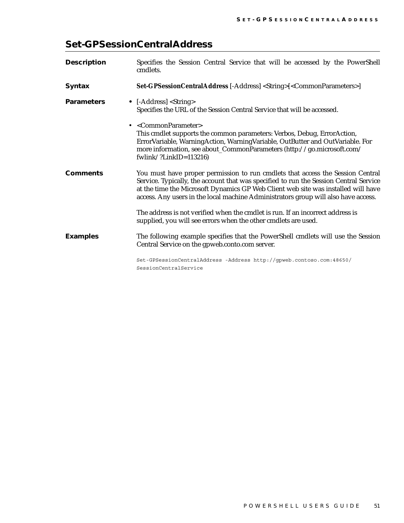## <span id="page-54-0"></span>**Set-GPSessionCentralAddress**

| <b>Description</b> | Specifies the Session Central Service that will be accessed by the PowerShell<br>cmdlets.                                                                                                                                                                                                                                                          |
|--------------------|----------------------------------------------------------------------------------------------------------------------------------------------------------------------------------------------------------------------------------------------------------------------------------------------------------------------------------------------------|
| <b>Syntax</b>      | Set-GPSessionCentralAddress [-Address] <string>[<commonparameters>]</commonparameters></string>                                                                                                                                                                                                                                                    |
| <b>Parameters</b>  | • $[–Address] <$ String><br>Specifies the URL of the Session Central Service that will be accessed.                                                                                                                                                                                                                                                |
|                    | • <commonparameter><br/>This cmdlet supports the common parameters: Verbos, Debug, ErrorAction,<br/>ErrorVariable, WarningAction, WarningVariable, OutButter and OutVariable. For<br/>more information, see about_CommonParameters (http://go.microsoft.com/<br/>fwlink/?LinkID=113216)</commonparameter>                                          |
| <b>Comments</b>    | You must have proper permission to run cmdlets that access the Session Central<br>Service. Typically, the account that was specified to run the Session Central Service<br>at the time the Microsoft Dynamics GP Web Client web site was installed will have<br>access. Any users in the local machine Administrators group will also have access. |
|                    | The address is not verified when the cmdlet is run. If an incorrect address is<br>supplied, you will see errors when the other cmdlets are used.                                                                                                                                                                                                   |
| <b>Examples</b>    | The following example specifies that the PowerShell cmdlets will use the Session<br>Central Service on the gpweb.conto.com server.                                                                                                                                                                                                                 |
|                    | Set-GPSessionCentralAddress -Address http://gpweb.contoso.com:48650/<br>SessionCentralService                                                                                                                                                                                                                                                      |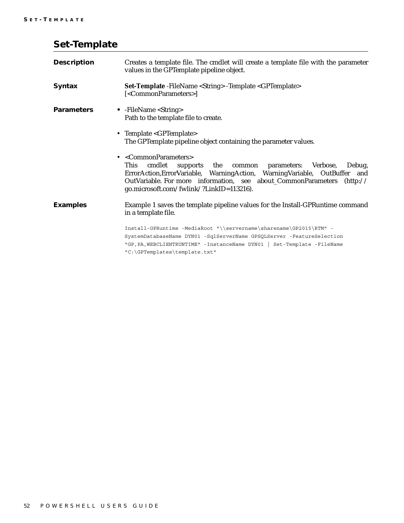| <b>Description</b> | Creates a template file. The cmdlet will create a template file with the parameter<br>values in the GPTemplate pipeline object.                                                                                                                                                                                                   |
|--------------------|-----------------------------------------------------------------------------------------------------------------------------------------------------------------------------------------------------------------------------------------------------------------------------------------------------------------------------------|
| <b>Syntax</b>      | <b>Set-Template</b> - FileName < String > - Template < GPTemplate ><br>[ <commonparameters>]</commonparameters>                                                                                                                                                                                                                   |
| <b>Parameters</b>  | • $-FileName <$ String><br>Path to the template file to create.                                                                                                                                                                                                                                                                   |
|                    | • Template <gptemplate><br/>The GPTemplate pipeline object containing the parameter values.</gptemplate>                                                                                                                                                                                                                          |
|                    | • <commonparameters><br/>This<br/>cmdlet<br/>Verbose,<br/>Debug,<br/>supports the<br/>common parameters:<br/>ErrorAction, ErrorVariable, WarningAction, WarningVariable, OutBuffer and<br/>OutVariable. For more information, see about_CommonParameters (http://<br/>go.microsoft.com/fwlink/?LinkID=113216).</commonparameters> |
| <b>Examples</b>    | Example 1 saves the template pipeline values for the Install-GPRuntime command<br>in a template file.                                                                                                                                                                                                                             |
|                    | Install-GPRuntime -MediaRoot "\\servername\sharename\GP2015\RTM" -<br>SystemDatabaseName DYN01 -SqlServerName GPSQLServer -FeatureSelection<br>"GP, PA, WEBCLIENTRUNTIME" - InstanceName DYN01   Set-Template - FileName<br>"C:\GPTemplates\template.txt"                                                                         |

## <span id="page-55-0"></span>**Set-Template**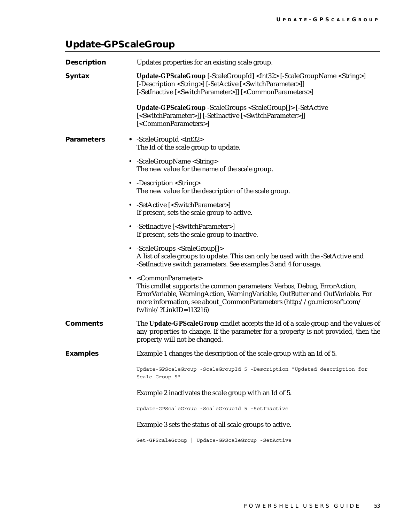## <span id="page-56-0"></span>**Update-GPScaleGroup**

| <b>Description</b> | Updates properties for an existing scale group.                                                                                                                                                                                                                                                                        |
|--------------------|------------------------------------------------------------------------------------------------------------------------------------------------------------------------------------------------------------------------------------------------------------------------------------------------------------------------|
| <b>Syntax</b>      | Update-GPScaleGroup [-ScaleGroupId] <int32> [-ScaleGroupName <string>]<br/>[-Description <string>] [-SetActive [<switchparameter>]]<br/>[-SetInactive [<switchparameter>]] [<commonparameters>]</commonparameters></switchparameter></switchparameter></string></string></int32>                                       |
|                    | Update-GPScaleGroup -ScaleGroups <scalegroup[]> [-SetActive<br/>[<commonparameters>]</commonparameters></scalegroup[]>                                                                                                                                                                                                 |
| <b>Parameters</b>  | • -ScaleGroupId <int32><br/>The Id of the scale group to update.</int32>                                                                                                                                                                                                                                               |
|                    | • -ScaleGroupName <string><br/>The new value for the name of the scale group.</string>                                                                                                                                                                                                                                 |
|                    | • -Description <string><br/>The new value for the description of the scale group.</string>                                                                                                                                                                                                                             |
|                    | • -SetActive [ <switchparameter>]<br/>If present, sets the scale group to active.</switchparameter>                                                                                                                                                                                                                    |
|                    | • -SetInactive [ <switchparameter>]<br/>If present, sets the scale group to inactive.</switchparameter>                                                                                                                                                                                                                |
|                    | • -ScaleGroups <scalegroup[]><br/>A list of scale groups to update. This can only be used with the -SetActive and<br/>-SetInactive switch parameters. See examples 3 and 4 for usage.</scalegroup[]>                                                                                                                   |
|                    | • <commonparameter><br/>This cmdlet supports the common parameters: Verbos, Debug, ErrorAction,<br/>ErrorVariable, WarningAction, WarningVariable, OutButter and OutVariable. For<br/>more information, see about_CommonParameters (http://go.microsoft.com/<br/>fwlink/?LinkID=<math>113216</math>)</commonparameter> |
| <b>Comments</b>    | The Update-GPScaleGroup cmdlet accepts the Id of a scale group and the values of<br>any properties to change. If the parameter for a property is not provided, then the<br>property will not be changed.                                                                                                               |
| <b>Examples</b>    | Example 1 changes the description of the scale group with an Id of 5.                                                                                                                                                                                                                                                  |
|                    | Update-GPScaleGroup -ScaleGroupId 5 -Description "Updated description for<br>Scale Group 5"                                                                                                                                                                                                                            |
|                    | Example 2 inactivates the scale group with an Id of 5.                                                                                                                                                                                                                                                                 |
|                    | Update-GPScaleGroup -ScaleGroupId 5 -SetInactive                                                                                                                                                                                                                                                                       |
|                    | Example 3 sets the status of all scale groups to active.                                                                                                                                                                                                                                                               |
|                    | Get-GPScaleGroup   Update-GPScaleGroup -SetActive                                                                                                                                                                                                                                                                      |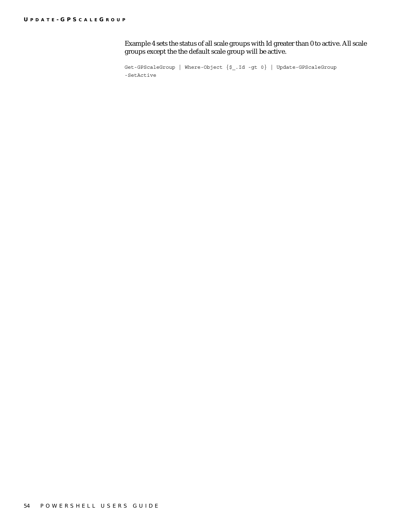Example 4 sets the status of all scale groups with Id greater than 0 to active. All scale groups except the the default scale group will be active.

Get-GPScaleGroup | Where-Object  $\{ $ \subseteq . \text{Id } - \text{gt } 0 \}$  | Update-GPScaleGroup -SetActive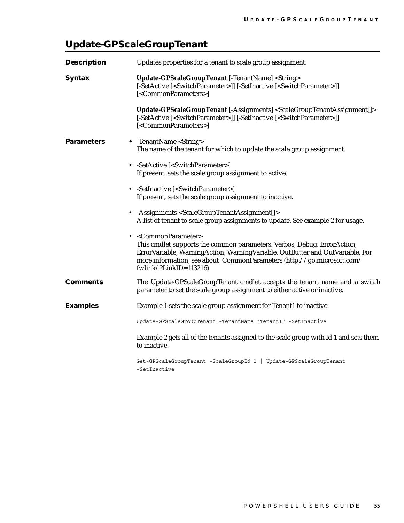## <span id="page-58-0"></span>**Update-GPScaleGroupTenant**

| <b>Description</b> | Updates properties for a tenant to scale group assignment.                                                                                                                                                                                                                                                |
|--------------------|-----------------------------------------------------------------------------------------------------------------------------------------------------------------------------------------------------------------------------------------------------------------------------------------------------------|
| <b>Syntax</b>      | Update-GPScaleGroupTenant [-TenantName] <string><br/>[-SetActive [<switchparameter>]] [-SetInactive [<switchparameter>]]<br/>[<commonparameters>]</commonparameters></switchparameter></switchparameter></string>                                                                                         |
|                    | Update-GPScaleGroupTenant [-Assignments] <scalegrouptenantassignment[]><br/>[<commonparameters>]</commonparameters></scalegrouptenantassignment[]>                                                                                                                                                        |
| <b>Parameters</b>  | • -TenantName <string><br/>The name of the tenant for which to update the scale group assignment.</string>                                                                                                                                                                                                |
|                    | • -SetActive [ <switchparameter>]<br/>If present, sets the scale group assignment to active.</switchparameter>                                                                                                                                                                                            |
|                    | • -SetInactive [ <switchparameter>]<br/>If present, sets the scale group assignment to inactive.</switchparameter>                                                                                                                                                                                        |
|                    | • - Assignments < Scale Group Tenant Assignment [] ><br>A list of tenant to scale group assignments to update. See example 2 for usage.                                                                                                                                                                   |
|                    | • <commonparameter><br/>This cmdlet supports the common parameters: Verbos, Debug, ErrorAction,<br/>ErrorVariable, WarningAction, WarningVariable, OutButter and OutVariable. For<br/>more information, see about_CommonParameters (http://go.microsoft.com/<br/>fwlink/?LinkID=113216)</commonparameter> |
| <b>Comments</b>    | The Update-GPScaleGroupTenant cmdlet accepts the tenant name and a switch<br>parameter to set the scale group assignment to either active or inactive.                                                                                                                                                    |
| <b>Examples</b>    | Example 1 sets the scale group assignment for Tenant1 to inactive.                                                                                                                                                                                                                                        |
|                    | Update-GPScaleGroupTenant -TenantName "Tenant1" -SetInactive                                                                                                                                                                                                                                              |
|                    | Example 2 gets all of the tenants assigned to the scale group with Id 1 and sets them<br>to inactive.                                                                                                                                                                                                     |
|                    | Get-GPScaleGroupTenant -ScaleGroupId 1   Update-GPScaleGroupTenant<br>-SetInactive                                                                                                                                                                                                                        |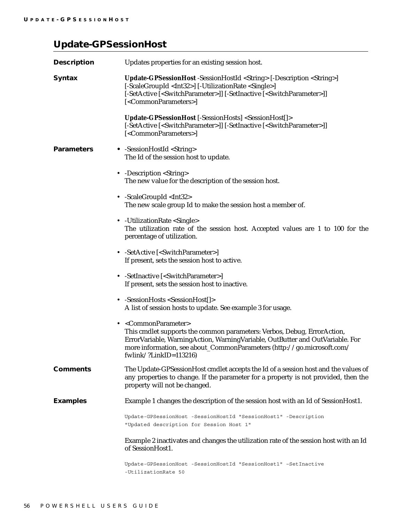## <span id="page-59-0"></span>**Update-GPSessionHost**

| <b>Description</b> | Updates properties for an existing session host.                                                                                                                                                                                                                                                                       |
|--------------------|------------------------------------------------------------------------------------------------------------------------------------------------------------------------------------------------------------------------------------------------------------------------------------------------------------------------|
| <b>Syntax</b>      | Update-GPSessionHost -SessionHostId <string> [-Description <string>]<br/>[-ScaleGroupId <int32>] [-UtilizationRate <single>]<br/>[<commonparameters>]</commonparameters></single></int32></string></string>                                                                                                            |
|                    | Update-GPSessionHost [-SessionHosts] <sessionhost[]><br/>[-SetActive [<switchparameter>]] [-SetInactive [<switchparameter>]]<br/>[<commonparameters>]</commonparameters></switchparameter></switchparameter></sessionhost[]>                                                                                           |
| <b>Parameters</b>  | • -SessionHostId <string><br/>The Id of the session host to update.</string>                                                                                                                                                                                                                                           |
|                    | • -Description <string><br/>The new value for the description of the session host.</string>                                                                                                                                                                                                                            |
|                    | • -ScaleGroupId <int32><br/>The new scale group Id to make the session host a member of.</int32>                                                                                                                                                                                                                       |
|                    | • - Utilization Rate < Single ><br>The utilization rate of the session host. Accepted values are 1 to 100 for the<br>percentage of utilization.                                                                                                                                                                        |
|                    | • -SetActive [ <switchparameter>]<br/>If present, sets the session host to active.</switchparameter>                                                                                                                                                                                                                   |
|                    | • -SetInactive [ <switchparameter>]<br/>If present, sets the session host to inactive.</switchparameter>                                                                                                                                                                                                               |
|                    | • -SessionHosts <sessionhost[]><br/>A list of session hosts to update. See example 3 for usage.</sessionhost[]>                                                                                                                                                                                                        |
|                    | • <commonparameter><br/>This cmdlet supports the common parameters: Verbos, Debug, ErrorAction,<br/>ErrorVariable, WarningAction, WarningVariable, OutButter and OutVariable. For<br/>more information, see about_CommonParameters (http://go.microsoft.com/<br/>fwlink/?LinkID=<math>113216</math>)</commonparameter> |
| <b>Comments</b>    | The Update-GPSessionHost cmdlet accepts the Id of a session host and the values of<br>any properties to change. If the parameter for a property is not provided, then the<br>property will not be changed.                                                                                                             |
| <b>Examples</b>    | Example 1 changes the description of the session host with an Id of SessionHost1.                                                                                                                                                                                                                                      |
|                    | Update-GPSessionHost -SessionHostId "SessionHost1" -Description<br>"Updated description for Session Host 1"                                                                                                                                                                                                            |
|                    | Example 2 inactivates and changes the utilization rate of the session host with an Id<br>of SessionHost1.                                                                                                                                                                                                              |
|                    | Update-GPSessionHost -SessionHostId "SessionHost1" -SetInactive<br>-UtilizationRate 50                                                                                                                                                                                                                                 |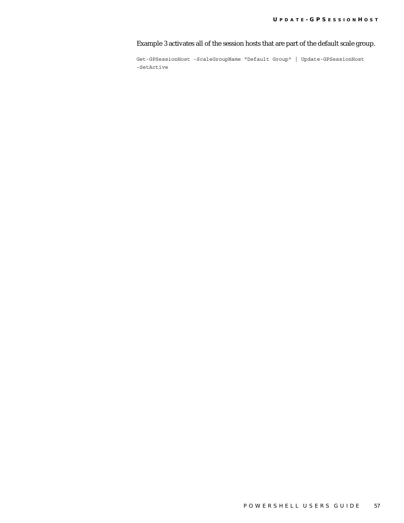Example 3 activates all of the session hosts that are part of the default scale group.

Get-GPSessionHost -ScaleGroupName "Default Group" | Update-GPSessionHost –SetActive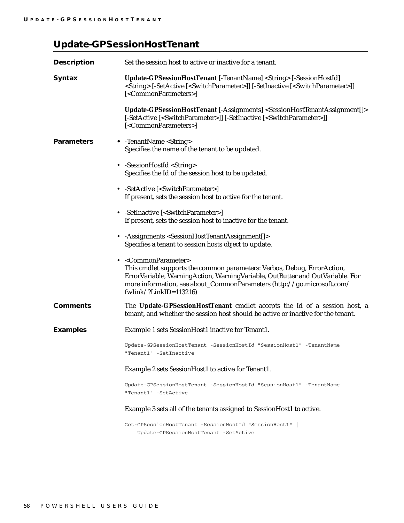## <span id="page-61-0"></span>**Update-GPSessionHostTenant**

| <b>Description</b> | Set the session host to active or inactive for a tenant.                                                                                                                                                                                                                                                               |
|--------------------|------------------------------------------------------------------------------------------------------------------------------------------------------------------------------------------------------------------------------------------------------------------------------------------------------------------------|
| <b>Syntax</b>      | Update-GPSessionHostTenant [-TenantName] <string> [-SessionHostId]<br/><string> [-SetActive [<switchparameter>]] [-SetInactive [<switchparameter>]]<br/>[<commonparameters>]</commonparameters></switchparameter></switchparameter></string></string>                                                                  |
|                    | Update-GPSessionHostTenant [-Assignments] <sessionhosttenantassignment[]><br/>[-SetActive [<switchparameter>]] [-SetInactive [<switchparameter>]]<br/>[<commonparameters>]</commonparameters></switchparameter></switchparameter></sessionhosttenantassignment[]>                                                      |
| <b>Parameters</b>  | • -TenantName <string><br/>Specifies the name of the tenant to be updated.</string>                                                                                                                                                                                                                                    |
|                    | • -SessionHostId <string><br/>Specifies the Id of the session host to be updated.</string>                                                                                                                                                                                                                             |
|                    | • -SetActive [ <switchparameter>]<br/>If present, sets the session host to active for the tenant.</switchparameter>                                                                                                                                                                                                    |
|                    | • -SetInactive [ <switchparameter>]<br/>If present, sets the session host to inactive for the tenant.</switchparameter>                                                                                                                                                                                                |
|                    | • - Assignments < Session Host Tenant Assignment [] ><br>Specifies a tenant to session hosts object to update.                                                                                                                                                                                                         |
|                    | • <commonparameter><br/>This cmdlet supports the common parameters: Verbos, Debug, ErrorAction,<br/>ErrorVariable, WarningAction, WarningVariable, OutButter and OutVariable. For<br/>more information, see about_CommonParameters (http://go.microsoft.com/<br/>fwlink/?LinkID=<math>113216</math>)</commonparameter> |
| <b>Comments</b>    | The Update-GPSessionHostTenant cmdlet accepts the Id of a session host, a<br>tenant, and whether the session host should be active or inactive for the tenant.                                                                                                                                                         |
| <b>Examples</b>    | Example 1 sets SessionHost1 inactive for Tenant1.                                                                                                                                                                                                                                                                      |
|                    | Update-GPSessionHostTenant -SessionHostId "SessionHost1" -TenantName<br>"Tenant1" -SetInactive                                                                                                                                                                                                                         |
|                    | Example 2 sets SessionHost1 to active for Tenant1.                                                                                                                                                                                                                                                                     |
|                    | Update-GPSessionHostTenant -SessionHostId "SessionHost1" -TenantName<br>"Tenant1" -SetActive                                                                                                                                                                                                                           |
|                    | Example 3 sets all of the tenants assigned to SessionHost1 to active.                                                                                                                                                                                                                                                  |
|                    | Get-GPSessionHostTenant -SessionHostId "SessionHost1"  <br>Update-GPSessionHostTenant -SetActive                                                                                                                                                                                                                       |